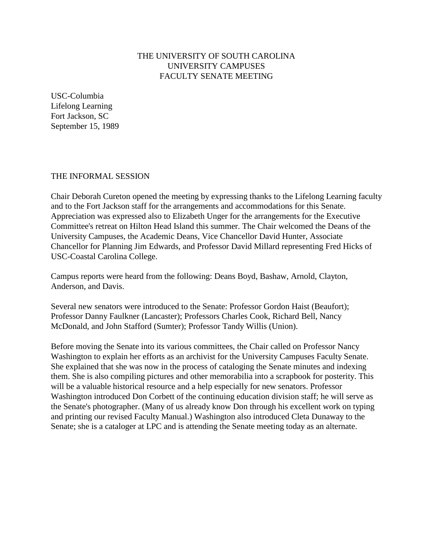# THE UNIVERSITY OF SOUTH CAROLINA UNIVERSITY CAMPUSES FACULTY SENATE MEETING

USC-Columbia Lifelong Learning Fort Jackson, SC September 15, 1989

### THE INFORMAL SESSION

Chair Deborah Cureton opened the meeting by expressing thanks to the Lifelong Learning faculty and to the Fort Jackson staff for the arrangements and accommodations for this Senate. Appreciation was expressed also to Elizabeth Unger for the arrangements for the Executive Committee's retreat on Hilton Head Island this summer. The Chair welcomed the Deans of the University Campuses, the Academic Deans, Vice Chancellor David Hunter, Associate Chancellor for Planning Jim Edwards, and Professor David Millard representing Fred Hicks of USC-Coastal Carolina College.

Campus reports were heard from the following: Deans Boyd, Bashaw, Arnold, Clayton, Anderson, and Davis.

Several new senators were introduced to the Senate: Professor Gordon Haist (Beaufort); Professor Danny Faulkner (Lancaster); Professors Charles Cook, Richard Bell, Nancy McDonald, and John Stafford (Sumter); Professor Tandy Willis (Union).

Before moving the Senate into its various committees, the Chair called on Professor Nancy Washington to explain her efforts as an archivist for the University Campuses Faculty Senate. She explained that she was now in the process of cataloging the Senate minutes and indexing them. She is also compiling pictures and other memorabilia into a scrapbook for posterity. This will be a valuable historical resource and a help especially for new senators. Professor Washington introduced Don Corbett of the continuing education division staff; he will serve as the Senate's photographer. (Many of us already know Don through his excellent work on typing and printing our revised Faculty Manual.) Washington also introduced Cleta Dunaway to the Senate; she is a cataloger at LPC and is attending the Senate meeting today as an alternate.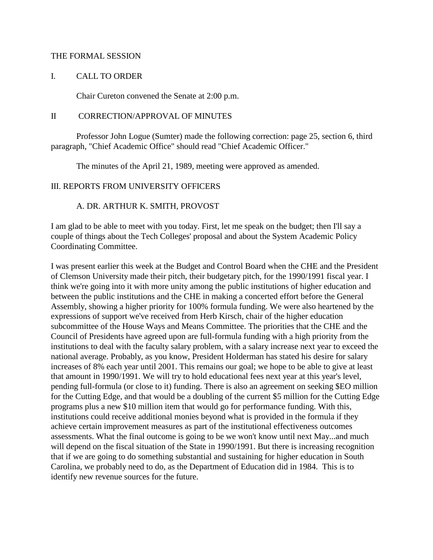#### THE FORMAL SESSION

#### I. CALL TO ORDER

Chair Cureton convened the Senate at 2:00 p.m.

#### II CORRECTION/APPROVAL OF MINUTES

Professor John Logue (Sumter) made the following correction: page 25, section 6, third paragraph, "Chief Academic Office" should read "Chief Academic Officer."

The minutes of the April 21, 1989, meeting were approved as amended.

### III. REPORTS FROM UNIVERSITY OFFICERS

### A. DR. ARTHUR K. SMITH, PROVOST

I am glad to be able to meet with you today. First, let me speak on the budget; then I'll say a couple of things about the Tech Colleges' proposal and about the System Academic Policy Coordinating Committee.

I was present earlier this week at the Budget and Control Board when the CHE and the President of Clemson University made their pitch, their budgetary pitch, for the 1990/1991 fiscal year. I think we're going into it with more unity among the public institutions of higher education and between the public institutions and the CHE in making a concerted effort before the General Assembly, showing a higher priority for 100% formula funding. We were also heartened by the expressions of support we've received from Herb Kirsch, chair of the higher education subcommittee of the House Ways and Means Committee. The priorities that the CHE and the Council of Presidents have agreed upon are full-formula funding with a high priority from the institutions to deal with the faculty salary problem, with a salary increase next year to exceed the national average. Probably, as you know, President Holderman has stated his desire for salary increases of 8% each year until 2001. This remains our goal; we hope to be able to give at least that amount in 1990/1991. We will try to hold educational fees next year at this year's level, pending full-formula (or close to it) funding. There is also an agreement on seeking \$EO million for the Cutting Edge, and that would be a doubling of the current \$5 million for the Cutting Edge programs plus a new \$10 million item that would go for performance funding. With this, institutions could receive additional monies beyond what is provided in the formula if they achieve certain improvement measures as part of the institutional effectiveness outcomes assessments. What the final outcome is going to be we won't know until next May...and much will depend on the fiscal situation of the State in 1990/1991. But there is increasing recognition that if we are going to do something substantial and sustaining for higher education in South Carolina, we probably need to do, as the Department of Education did in 1984. This is to identify new revenue sources for the future.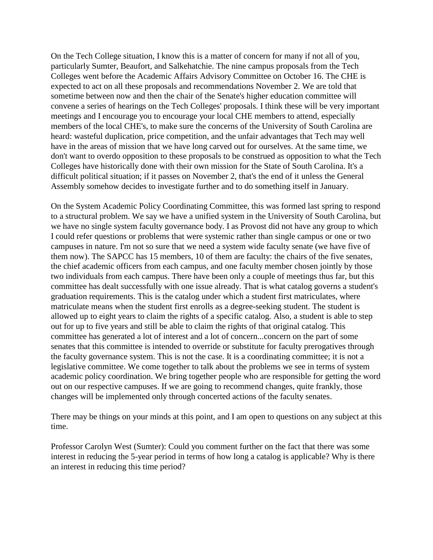On the Tech College situation, I know this is a matter of concern for many if not all of you, particularly Sumter, Beaufort, and Salkehatchie. The nine campus proposals from the Tech Colleges went before the Academic Affairs Advisory Committee on October 16. The CHE is expected to act on all these proposals and recommendations November 2. We are told that sometime between now and then the chair of the Senate's higher education committee will convene a series of hearings on the Tech Colleges' proposals. I think these will be very important meetings and I encourage you to encourage your local CHE members to attend, especially members of the local CHE's, to make sure the concerns of the University of South Carolina are heard: wasteful duplication, price competition, and the unfair advantages that Tech may well have in the areas of mission that we have long carved out for ourselves. At the same time, we don't want to overdo opposition to these proposals to be construed as opposition to what the Tech Colleges have historically done with their own mission for the State of South Carolina. It's a difficult political situation; if it passes on November 2, that's the end of it unless the General Assembly somehow decides to investigate further and to do something itself in January.

On the System Academic Policy Coordinating Committee, this was formed last spring to respond to a structural problem. We say we have a unified system in the University of South Carolina, but we have no single system faculty governance body. I as Provost did not have any group to which I could refer questions or problems that were systemic rather than single campus or one or two campuses in nature. I'm not so sure that we need a system wide faculty senate (we have five of them now). The SAPCC has 15 members, 10 of them are faculty: the chairs of the five senates, the chief academic officers from each campus, and one faculty member chosen jointly by those two individuals from each campus. There have been only a couple of meetings thus far, but this committee has dealt successfully with one issue already. That is what catalog governs a student's graduation requirements. This is the catalog under which a student first matriculates, where matriculate means when the student first enrolls as a degree-seeking student. The student is allowed up to eight years to claim the rights of a specific catalog. Also, a student is able to step out for up to five years and still be able to claim the rights of that original catalog. This committee has generated a lot of interest and a lot of concern...concern on the part of some senates that this committee is intended to override or substitute for faculty prerogatives through the faculty governance system. This is not the case. It is a coordinating committee; it is not a legislative committee. We come together to talk about the problems we see in terms of system academic policy coordination. We bring together people who are responsible for getting the word out on our respective campuses. If we are going to recommend changes, quite frankly, those changes will be implemented only through concerted actions of the faculty senates.

There may be things on your minds at this point, and I am open to questions on any subject at this time.

Professor Carolyn West (Sumter): Could you comment further on the fact that there was some interest in reducing the 5-year period in terms of how long a catalog is applicable? Why is there an interest in reducing this time period?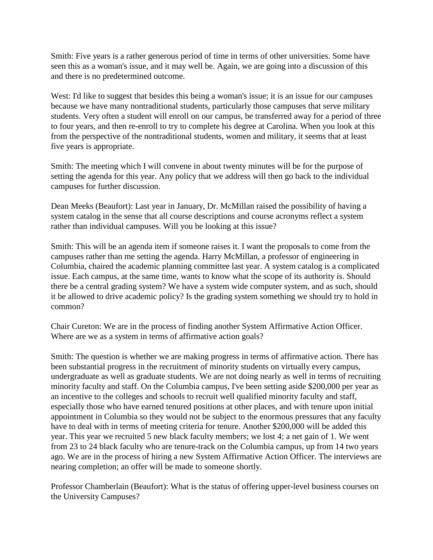Smith: Five years is a rather generous period of time in terms of other universities. Some have seen this as a woman's issue, and it may well be. Again, we are going into a discussion of this and there is no predetermined outcome.

West: I'd like to suggest that besides this being a woman's issue; it is an issue for our campuses because we have many nontraditional students, particularly those campuses that serve military students. Very often a student will enroll on our campus, be transferred away for a period of three to four years, and then re-enroll to try to complete his degree at Carolina. When you look at this from the perspective of the nontraditional students, women and military, it seems that at least five years is appropriate.

Smith: The meeting which I will convene in about twenty minutes will be for the purpose of setting the agenda for this year. Any policy that we address will then go back to the individual campuses for further discussion.

Dean Meeks (Beaufort): Last year in January, Dr. McMillan raised the possibility of having a system catalog in the sense that all course descriptions and course acronyms reflect a system rather than individual campuses. Will you be looking at this issue?

Smith: This will be an agenda item if someone raises it. I want the proposals to come from the campuses rather than me setting the agenda. Harry McMillan, a professor of engineering in Columbia, chaired the academic planning committee last year. A system catalog is a complicated issue. Each campus, at the same time, wants to know what the scope of its authority is. Should there be a central grading system? We have a system wide computer system, and as such, should it be allowed to drive academic policy? Is the grading system something we should try to hold in common?

Chair Cureton: We are in the process of finding another System Affirmative Action Officer. Where are we as a system in terms of affirmative action goals?

Smith: The question is whether we are making progress in terms of affirmative action. There has been substantial progress in the recruitment of minority students on virtually every campus, undergraduate as well as graduate students. We are not doing nearly as well in terms of recruiting minority faculty and staff. On the Columbia campus, I've been setting aside \$200,000 per year as an incentive to the colleges and schools to recruit well qualified minority faculty and staff, especially those who have earned tenured positions at other places, and with tenure upon initial appointment in Columbia so they would not be subject to the enormous pressures that any faculty have to deal with in terms of meeting criteria for tenure. Another \$200,000 will be added this year. This year we recruited 5 new black faculty members; we lost 4; a net gain of 1. We went from 23 to 24 black faculty who are tenure-track on the Columbia campus, up from 14 two years ago. We are in the process of hiring a new System Affirmative Action Officer. The interviews are nearing completion; an offer will be made to someone shortly.

Professor Chamberlain (Beaufort): What is the status of offering upper-level business courses on the University Campuses?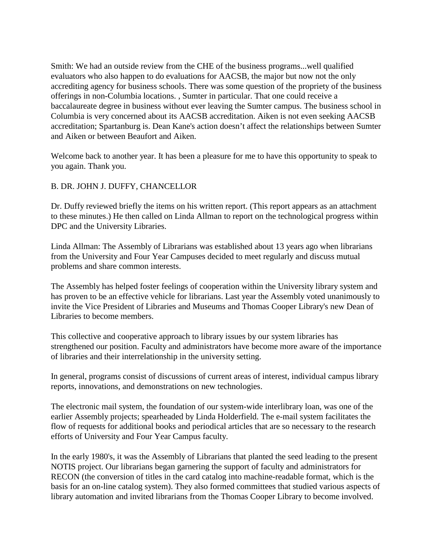Smith: We had an outside review from the CHE of the business programs...well qualified evaluators who also happen to do evaluations for AACSB, the major but now not the only accrediting agency for business schools. There was some question of the propriety of the business offerings in non-Columbia locations. , Sumter in particular. That one could receive a baccalaureate degree in business without ever leaving the Sumter campus. The business school in Columbia is very concerned about its AACSB accreditation. Aiken is not even seeking AACSB accreditation; Spartanburg is. Dean Kane's action doesn't affect the relationships between Sumter and Aiken or between Beaufort and Aiken.

Welcome back to another year. It has been a pleasure for me to have this opportunity to speak to you again. Thank you.

# B. DR. JOHN J. DUFFY, CHANCELLOR

Dr. Duffy reviewed briefly the items on his written report. (This report appears as an attachment to these minutes.) He then called on Linda Allman to report on the technological progress within DPC and the University Libraries.

Linda Allman: The Assembly of Librarians was established about 13 years ago when librarians from the University and Four Year Campuses decided to meet regularly and discuss mutual problems and share common interests.

The Assembly has helped foster feelings of cooperation within the University library system and has proven to be an effective vehicle for librarians. Last year the Assembly voted unanimously to invite the Vice President of Libraries and Museums and Thomas Cooper Library's new Dean of Libraries to become members.

This collective and cooperative approach to library issues by our system libraries has strengthened our position. Faculty and administrators have become more aware of the importance of libraries and their interrelationship in the university setting.

In general, programs consist of discussions of current areas of interest, individual campus library reports, innovations, and demonstrations on new technologies.

The electronic mail system, the foundation of our system-wide interlibrary loan, was one of the earlier Assembly projects; spearheaded by Linda Holderfield. The e-mail system facilitates the flow of requests for additional books and periodical articles that are so necessary to the research efforts of University and Four Year Campus faculty.

In the early 1980's, it was the Assembly of Librarians that planted the seed leading to the present NOTIS project. Our librarians began garnering the support of faculty and administrators for RECON (the conversion of titles in the card catalog into machine-readable format, which is the basis for an on-line catalog system). They also formed committees that studied various aspects of library automation and invited librarians from the Thomas Cooper Library to become involved.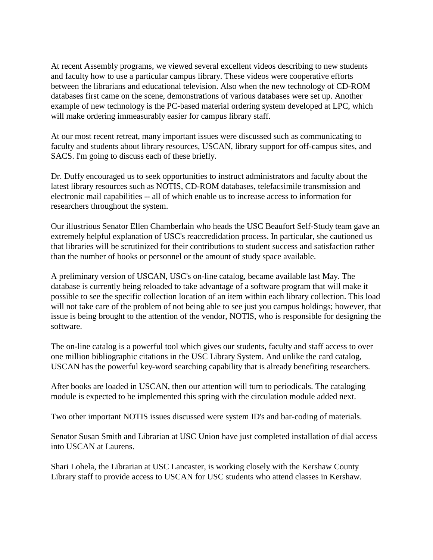At recent Assembly programs, we viewed several excellent videos describing to new students and faculty how to use a particular campus library. These videos were cooperative efforts between the librarians and educational television. Also when the new technology of CD-ROM databases first came on the scene, demonstrations of various databases were set up. Another example of new technology is the PC-based material ordering system developed at LPC, which will make ordering immeasurably easier for campus library staff.

At our most recent retreat, many important issues were discussed such as communicating to faculty and students about library resources, USCAN, library support for off-campus sites, and SACS. I'm going to discuss each of these briefly.

Dr. Duffy encouraged us to seek opportunities to instruct administrators and faculty about the latest library resources such as NOTIS, CD-ROM databases, telefacsimile transmission and electronic mail capabilities -- all of which enable us to increase access to information for researchers throughout the system.

Our illustrious Senator Ellen Chamberlain who heads the USC Beaufort Self-Study team gave an extremely helpful explanation of USC's reaccredidation process. In particular, she cautioned us that libraries will be scrutinized for their contributions to student success and satisfaction rather than the number of books or personnel or the amount of study space available.

A preliminary version of USCAN, USC's on-line catalog, became available last May. The database is currently being reloaded to take advantage of a software program that will make it possible to see the specific collection location of an item within each library collection. This load will not take care of the problem of not being able to see just you campus holdings; however, that issue is being brought to the attention of the vendor, NOTIS, who is responsible for designing the software.

The on-line catalog is a powerful tool which gives our students, faculty and staff access to over one million bibliographic citations in the USC Library System. And unlike the card catalog, USCAN has the powerful key-word searching capability that is already benefiting researchers.

After books are loaded in USCAN, then our attention will turn to periodicals. The cataloging module is expected to be implemented this spring with the circulation module added next.

Two other important NOTIS issues discussed were system ID's and bar-coding of materials.

Senator Susan Smith and Librarian at USC Union have just completed installation of dial access into USCAN at Laurens.

Shari Lohela, the Librarian at USC Lancaster, is working closely with the Kershaw County Library staff to provide access to USCAN for USC students who attend classes in Kershaw.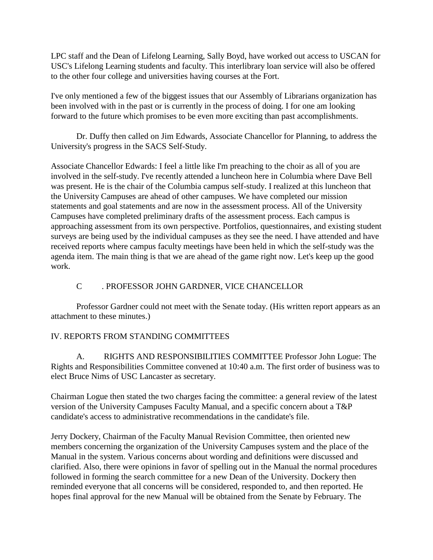LPC staff and the Dean of Lifelong Learning, Sally Boyd, have worked out access to USCAN for USC's Lifelong Learning students and faculty. This interlibrary loan service will also be offered to the other four college and universities having courses at the Fort.

I've only mentioned a few of the biggest issues that our Assembly of Librarians organization has been involved with in the past or is currently in the process of doing. I for one am looking forward to the future which promises to be even more exciting than past accomplishments.

Dr. Duffy then called on Jim Edwards, Associate Chancellor for Planning, to address the University's progress in the SACS Self-Study.

Associate Chancellor Edwards: I feel a little like I'm preaching to the choir as all of you are involved in the self-study. I've recently attended a luncheon here in Columbia where Dave Bell was present. He is the chair of the Columbia campus self-study. I realized at this luncheon that the University Campuses are ahead of other campuses. We have completed our mission statements and goal statements and are now in the assessment process. All of the University Campuses have completed preliminary drafts of the assessment process. Each campus is approaching assessment from its own perspective. Portfolios, questionnaires, and existing student surveys are being used by the individual campuses as they see the need. I have attended and have received reports where campus faculty meetings have been held in which the self-study was the agenda item. The main thing is that we are ahead of the game right now. Let's keep up the good work.

# C . PROFESSOR JOHN GARDNER, VICE CHANCELLOR

Professor Gardner could not meet with the Senate today. (His written report appears as an attachment to these minutes.)

# IV. REPORTS FROM STANDING COMMITTEES

A. RIGHTS AND RESPONSIBILITIES COMMITTEE Professor John Logue: The Rights and Responsibilities Committee convened at 10:40 a.m. The first order of business was to elect Bruce Nims of USC Lancaster as secretary.

Chairman Logue then stated the two charges facing the committee: a general review of the latest version of the University Campuses Faculty Manual, and a specific concern about a T&P candidate's access to administrative recommendations in the candidate's file.

Jerry Dockery, Chairman of the Faculty Manual Revision Committee, then oriented new members concerning the organization of the University Campuses system and the place of the Manual in the system. Various concerns about wording and definitions were discussed and clarified. Also, there were opinions in favor of spelling out in the Manual the normal procedures followed in forming the search committee for a new Dean of the University. Dockery then reminded everyone that all concerns will be considered, responded to, and then reported. He hopes final approval for the new Manual will be obtained from the Senate by February. The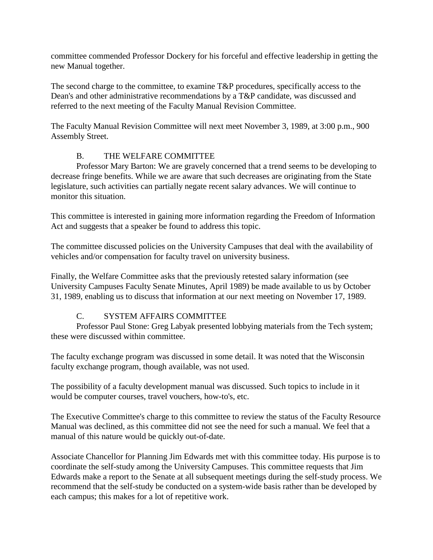committee commended Professor Dockery for his forceful and effective leadership in getting the new Manual together.

The second charge to the committee, to examine T&P procedures, specifically access to the Dean's and other administrative recommendations by a T&P candidate, was discussed and referred to the next meeting of the Faculty Manual Revision Committee.

The Faculty Manual Revision Committee will next meet November 3, 1989, at 3:00 p.m., 900 Assembly Street.

# B. THE WELFARE COMMITTEE

Professor Mary Barton: We are gravely concerned that a trend seems to be developing to decrease fringe benefits. While we are aware that such decreases are originating from the State legislature, such activities can partially negate recent salary advances. We will continue to monitor this situation.

This committee is interested in gaining more information regarding the Freedom of Information Act and suggests that a speaker be found to address this topic.

The committee discussed policies on the University Campuses that deal with the availability of vehicles and/or compensation for faculty travel on university business.

Finally, the Welfare Committee asks that the previously retested salary information (see University Campuses Faculty Senate Minutes, April 1989) be made available to us by October 31, 1989, enabling us to discuss that information at our next meeting on November 17, 1989.

# C. SYSTEM AFFAIRS COMMITTEE

Professor Paul Stone: Greg Labyak presented lobbying materials from the Tech system; these were discussed within committee.

The faculty exchange program was discussed in some detail. It was noted that the Wisconsin faculty exchange program, though available, was not used.

The possibility of a faculty development manual was discussed. Such topics to include in it would be computer courses, travel vouchers, how-to's, etc.

The Executive Committee's charge to this committee to review the status of the Faculty Resource Manual was declined, as this committee did not see the need for such a manual. We feel that a manual of this nature would be quickly out-of-date.

Associate Chancellor for Planning Jim Edwards met with this committee today. His purpose is to coordinate the self-study among the University Campuses. This committee requests that Jim Edwards make a report to the Senate at all subsequent meetings during the self-study process. We recommend that the self-study be conducted on a system-wide basis rather than be developed by each campus; this makes for a lot of repetitive work.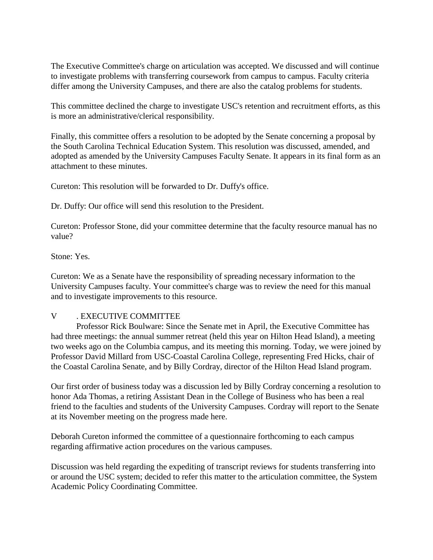The Executive Committee's charge on articulation was accepted. We discussed and will continue to investigate problems with transferring coursework from campus to campus. Faculty criteria differ among the University Campuses, and there are also the catalog problems for students.

This committee declined the charge to investigate USC's retention and recruitment efforts, as this is more an administrative/clerical responsibility.

Finally, this committee offers a resolution to be adopted by the Senate concerning a proposal by the South Carolina Technical Education System. This resolution was discussed, amended, and adopted as amended by the University Campuses Faculty Senate. It appears in its final form as an attachment to these minutes.

Cureton: This resolution will be forwarded to Dr. Duffy's office.

Dr. Duffy: Our office will send this resolution to the President.

Cureton: Professor Stone, did your committee determine that the faculty resource manual has no value?

Stone: Yes.

Cureton: We as a Senate have the responsibility of spreading necessary information to the University Campuses faculty. Your committee's charge was to review the need for this manual and to investigate improvements to this resource.

### V . EXECUTIVE COMMITTEE

Professor Rick Boulware: Since the Senate met in April, the Executive Committee has had three meetings: the annual summer retreat (held this year on Hilton Head Island), a meeting two weeks ago on the Columbia campus, and its meeting this morning. Today, we were joined by Professor David Millard from USC-Coastal Carolina College, representing Fred Hicks, chair of the Coastal Carolina Senate, and by Billy Cordray, director of the Hilton Head Island program.

Our first order of business today was a discussion led by Billy Cordray concerning a resolution to honor Ada Thomas, a retiring Assistant Dean in the College of Business who has been a real friend to the faculties and students of the University Campuses. Cordray will report to the Senate at its November meeting on the progress made here.

Deborah Cureton informed the committee of a questionnaire forthcoming to each campus regarding affirmative action procedures on the various campuses.

Discussion was held regarding the expediting of transcript reviews for students transferring into or around the USC system; decided to refer this matter to the articulation committee, the System Academic Policy Coordinating Committee.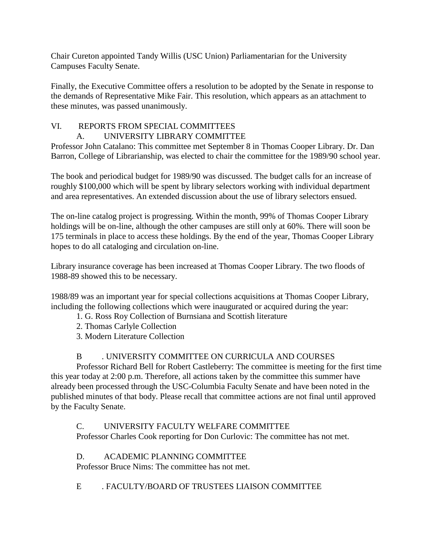Chair Cureton appointed Tandy Willis (USC Union) Parliamentarian for the University Campuses Faculty Senate.

Finally, the Executive Committee offers a resolution to be adopted by the Senate in response to the demands of Representative Mike Fair. This resolution, which appears as an attachment to these minutes, was passed unanimously.

# VI. REPORTS FROM SPECIAL COMMITTEES

# A. UNIVERSITY LIBRARY COMMITTEE

Professor John Catalano: This committee met September 8 in Thomas Cooper Library. Dr. Dan Barron, College of Librarianship, was elected to chair the committee for the 1989/90 school year.

The book and periodical budget for 1989/90 was discussed. The budget calls for an increase of roughly \$100,000 which will be spent by library selectors working with individual department and area representatives. An extended discussion about the use of library selectors ensued.

The on-line catalog project is progressing. Within the month, 99% of Thomas Cooper Library holdings will be on-line, although the other campuses are still only at 60%. There will soon be 175 terminals in place to access these holdings. By the end of the year, Thomas Cooper Library hopes to do all cataloging and circulation on-line.

Library insurance coverage has been increased at Thomas Cooper Library. The two floods of 1988-89 showed this to be necessary.

1988/89 was an important year for special collections acquisitions at Thomas Cooper Library, including the following collections which were inaugurated or acquired during the year:

- 1. G. Ross Roy Collection of Burnsiana and Scottish literature
- 2. Thomas Carlyle Collection
- 3. Modern Literature Collection

# B . UNIVERSITY COMMITTEE ON CURRICULA AND COURSES

Professor Richard Bell for Robert Castleberry: The committee is meeting for the first time this year today at 2:00 p.m. Therefore, all actions taken by the committee this summer have already been processed through the USC-Columbia Faculty Senate and have been noted in the published minutes of that body. Please recall that committee actions are not final until approved by the Faculty Senate.

C. UNIVERSITY FACULTY WELFARE COMMITTEE Professor Charles Cook reporting for Don Curlovic: The committee has not met.

D. ACADEMIC PLANNING COMMITTEE Professor Bruce Nims: The committee has not met.

E . FACULTY/BOARD OF TRUSTEES LIAISON COMMITTEE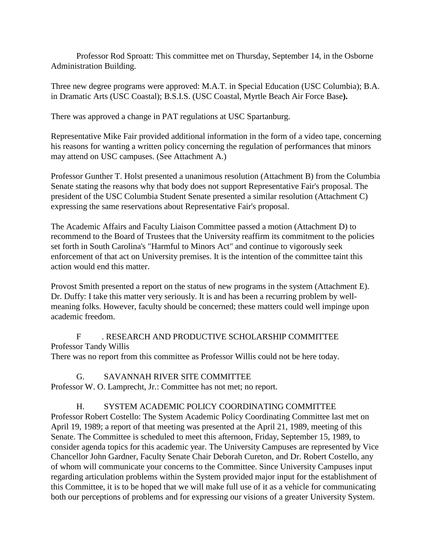Professor Rod Sproatt: This committee met on Thursday, September 14, in the Osborne Administration Building.

Three new degree programs were approved: M.A.T. in Special Education (USC Columbia); B.A. in Dramatic Arts (USC Coastal); B.S.I.S. (USC Coastal, Myrtle Beach Air Force Base**).**

There was approved a change in PAT regulations at USC Spartanburg.

Representative Mike Fair provided additional information in the form of a video tape, concerning his reasons for wanting a written policy concerning the regulation of performances that minors may attend on USC campuses. (See Attachment A.)

Professor Gunther T. Holst presented a unanimous resolution (Attachment B) from the Columbia Senate stating the reasons why that body does not support Representative Fair's proposal. The president of the USC Columbia Student Senate presented a similar resolution (Attachment C) expressing the same reservations about Representative Fair's proposal.

The Academic Affairs and Faculty Liaison Committee passed a motion (Attachment D) to recommend to the Board of Trustees that the University reaffirm its commitment to the policies set forth in South Carolina's "Harmful to Minors Act" and continue to vigorously seek enforcement of that act on University premises. It is the intention of the committee taint this action would end this matter.

Provost Smith presented a report on the status of new programs in the system (Attachment E). Dr. Duffy: I take this matter very seriously. It is and has been a recurring problem by wellmeaning folks. However, faculty should be concerned; these matters could well impinge upon academic freedom.

F . RESEARCH AND PRODUCTIVE SCHOLARSHIP COMMITTEE Professor Tandy Willis There was no report from this committee as Professor Willis could not be here today.

G. SAVANNAH RIVER SITE COMMITTEE

Professor W. O. Lamprecht, Jr.: Committee has not met; no report.

# H. SYSTEM ACADEMIC POLICY COORDINATING COMMITTEE

Professor Robert Costello: The System Academic Policy Coordinating Committee last met on April 19, 1989; a report of that meeting was presented at the April 21, 1989, meeting of this Senate. The Committee is scheduled to meet this afternoon, Friday, September 15, 1989, to consider agenda topics for this academic year. The University Campuses are represented by Vice Chancellor John Gardner, Faculty Senate Chair Deborah Cureton, and Dr. Robert Costello, any of whom will communicate your concerns to the Committee. Since University Campuses input regarding articulation problems within the System provided major input for the establishment of this Committee, it is to be hoped that we will make full use of it as a vehicle for communicating both our perceptions of problems and for expressing our visions of a greater University System.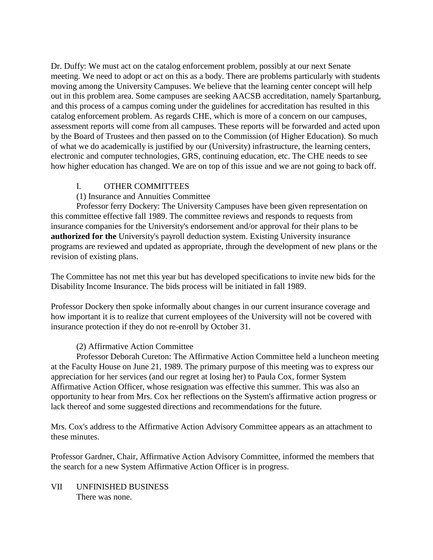Dr. Duffy: We must act on the catalog enforcement problem, possibly at our next Senate meeting. We need to adopt or act on this as a body. There are problems particularly with students moving among the University Campuses. We believe that the learning center concept will help out in this problem area. Some campuses are seeking AACSB accreditation, namely Spartanburg, and this process of a campus coming under the guidelines for accreditation has resulted in this catalog enforcement problem. As regards CHE, which is more of a concern on our campuses, assessment reports will come from all campuses. These reports will be forwarded and acted upon by the Board of Trustees and then passed on to the Commission (of Higher Education). So much of what we do academically is justified by our (University) infrastructure, the learning centers, electronic and computer technologies, GRS, continuing education, etc. The CHE needs to see how higher education has changed. We are on top of this issue and we are not going to back off.

# I. OTHER COMMITTEES

# (1) Insurance and Annuities Committee

Professor ferry Dockery: The University Campuses have been given representation on this committee effective fall 1989. The committee reviews and responds to requests from insurance companies for the University's endorsement and/or approval for their plans to be **authorized for the** University's payroll deduction system. Existing University insurance programs are reviewed and updated as appropriate, through the development of new plans or the revision of existing plans.

The Committee has not met this year but has developed specifications to invite new bids for the Disability Income Insurance. The bids process will be initiated in fall 1989.

Professor Dockery then spoke informally about changes in our current insurance coverage and how important it is to realize that current employees of the University will not be covered with insurance protection if they do not re-enroll by October 31.

### (2) Affirmative Action Committee

Professor Deborah Cureton: The Affirmative Action Committee held a luncheon meeting at the Faculty House on June 21, 1989. The primary purpose of this meeting was to express our appreciation for her services (and our regret at losing her) to Paula Cox, former System Affirmative Action Officer, whose resignation was effective this summer. This was also an opportunity to hear from Mrs. Cox her reflections on the System's affirmative action progress or lack thereof and some suggested directions and recommendations for the future.

Mrs. Cox's address to the Affirmative Action Advisory Committee appears as an attachment to these minutes.

Professor Gardner, Chair, Affirmative Action Advisory Committee, informed the members that the search for a new System Affirmative Action Officer is in progress.

VII UNFINISHED BUSINESS There was none.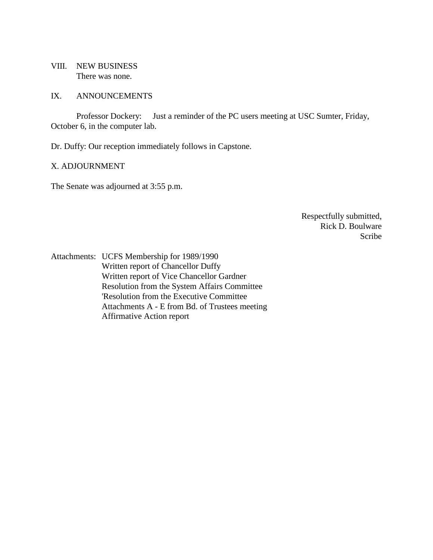VIII. NEW BUSINESS There was none.

#### IX. ANNOUNCEMENTS

Professor Dockery: Just a reminder of the PC users meeting at USC Sumter, Friday, October 6, in the computer lab.

Dr. Duffy: Our reception immediately follows in Capstone.

#### X. ADJOURNMENT

The Senate was adjourned at 3:55 p.m.

Respectfully submitted, Rick D. Boulware Scribe

Attachments: UCFS Membership for 1989/1990 Written report of Chancellor Duffy Written report of Vice Chancellor Gardner Resolution from the System Affairs Committee 'Resolution from the Executive Committee Attachments A - E from Bd. of Trustees meeting Affirmative Action report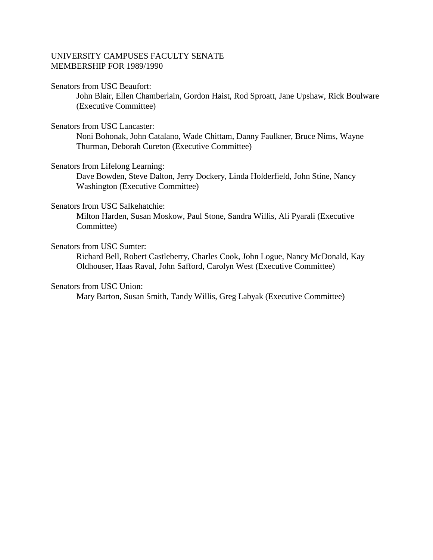# UNIVERSITY CAMPUSES FACULTY SENATE MEMBERSHIP FOR 1989/1990

#### Senators from USC Beaufort:

John Blair, Ellen Chamberlain, Gordon Haist, Rod Sproatt, Jane Upshaw, Rick Boulware (Executive Committee)

### Senators from USC Lancaster:

Noni Bohonak, John Catalano, Wade Chittam, Danny Faulkner, Bruce Nims, Wayne Thurman, Deborah Cureton (Executive Committee)

### Senators from Lifelong Learning:

Dave Bowden, Steve Dalton, Jerry Dockery, Linda Holderfield, John Stine, Nancy Washington (Executive Committee)

### Senators from USC Salkehatchie:

Milton Harden, Susan Moskow, Paul Stone, Sandra Willis, Ali Pyarali (Executive Committee)

### Senators from USC Sumter:

Richard Bell, Robert Castleberry, Charles Cook, John Logue, Nancy McDonald, Kay Oldhouser, Haas Raval, John Safford, Carolyn West (Executive Committee)

### Senators from USC Union:

Mary Barton, Susan Smith, Tandy Willis, Greg Labyak (Executive Committee)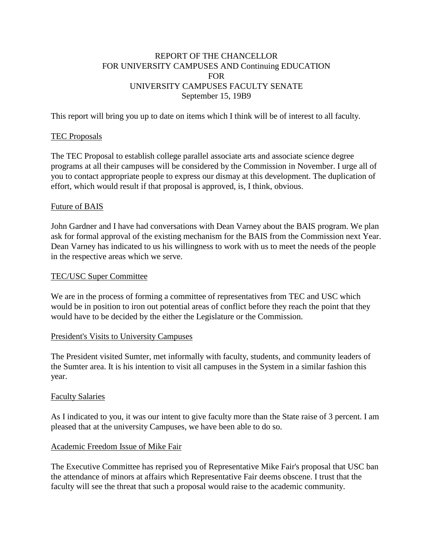# REPORT OF THE CHANCELLOR FOR UNIVERSITY CAMPUSES AND Continuing EDUCATION FOR UNIVERSITY CAMPUSES FACULTY SENATE September 15, 19B9

This report will bring you up to date on items which I think will be of interest to all faculty.

# TEC Proposals

The TEC Proposal to establish college parallel associate arts and associate science degree programs at all their campuses will be considered by the Commission in November. I urge all of you to contact appropriate people to express our dismay at this development. The duplication of effort, which would result if that proposal is approved, is, I think, obvious.

### Future of BAIS

John Gardner and I have had conversations with Dean Varney about the BAIS program. We plan ask for formal approval of the existing mechanism for the BAIS from the Commission next Year. Dean Varney has indicated to us his willingness to work with us to meet the needs of the people in the respective areas which we serve.

### TEC/USC Super Committee

We are in the process of forming a committee of representatives from TEC and USC which would be in position to iron out potential areas of conflict before they reach the point that they would have to be decided by the either the Legislature or the Commission.

### President's Visits to University Campuses

The President visited Sumter, met informally with faculty, students, and community leaders of the Sumter area. It is his intention to visit all campuses in the System in a similar fashion this year.

### Faculty Salaries

As I indicated to you, it was our intent to give faculty more than the State raise of 3 percent. I am pleased that at the university Campuses, we have been able to do so.

### Academic Freedom Issue of Mike Fair

The Executive Committee has reprised you of Representative Mike Fair's proposal that USC ban the attendance of minors at affairs which Representative Fair deems obscene. I trust that the faculty will see the threat that such a proposal would raise to the academic community.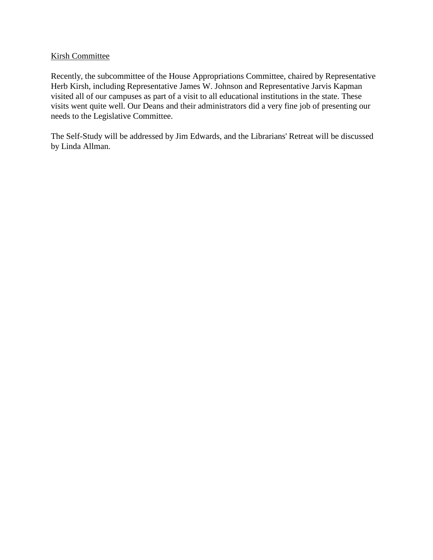# Kirsh Committee

Recently, the subcommittee of the House Appropriations Committee, chaired by Representative Herb Kirsh, including Representative James W. Johnson and Representative Jarvis Kapman visited all of our campuses as part of a visit to all educational institutions in the state. These visits went quite well. Our Deans and their administrators did a very fine job of presenting our needs to the Legislative Committee.

The Self-Study will be addressed by Jim Edwards, and the Librarians' Retreat will be discussed by Linda Allman.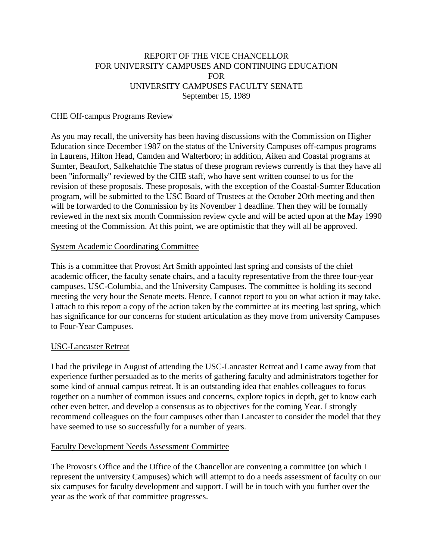# REPORT OF THE VICE CHANCELLOR FOR UNIVERSITY CAMPUSES AND CONTINUING EDUCATlON FOR UNIVERSITY CAMPUSES FACULTY SENATE September 15, 1989

### CHE Off-campus Programs Review

As you may recall, the university has been having discussions with the Commission on Higher Education since December 1987 on the status of the University Campuses off-campus programs in Laurens, Hilton Head, Camden and Walterboro; in addition, Aiken and Coastal programs at Sumter, Beaufort, Salkehatchie The status of these program reviews currently is that they have all been "informally" reviewed by the CHE staff, who have sent written counsel to us for the revision of these proposals. These proposals, with the exception of the Coastal-Sumter Education program, will be submitted to the USC Board of Trustees at the October 2Oth meeting and then will be forwarded to the Commission by its November 1 deadline. Then they will be formally reviewed in the next six month Commission review cycle and will be acted upon at the May 1990 meeting of the Commission. At this point, we are optimistic that they will all be approved.

### System Academic Coordinating Committee

This is a committee that Provost Art Smith appointed last spring and consists of the chief academic officer, the faculty senate chairs, and a faculty representative from the three four-year campuses, USC-Columbia, and the University Campuses. The committee is holding its second meeting the very hour the Senate meets. Hence, I cannot report to you on what action it may take. I attach to this report a copy of the action taken by the committee at its meeting last spring, which has significance for our concerns for student articulation as they move from university Campuses to Four-Year Campuses.

### USC-Lancaster Retreat

I had the privilege in August of attending the USC-Lancaster Retreat and I came away from that experience further persuaded as to the merits of gathering faculty and administrators together for some kind of annual campus retreat. It is an outstanding idea that enables colleagues to focus together on a number of common issues and concerns, explore topics in depth, get to know each other even better, and develop a consensus as to objectives for the coming Year. I strongly recommend colleagues on the four campuses other than Lancaster to consider the model that they have seemed to use so successfully for a number of years.

#### Faculty Development Needs Assessment Committee

The Provost's Office and the Office of the Chancellor are convening a committee (on which I represent the university Campuses) which will attempt to do a needs assessment of faculty on our six campuses for faculty development and support. I will be in touch with you further over the year as the work of that committee progresses.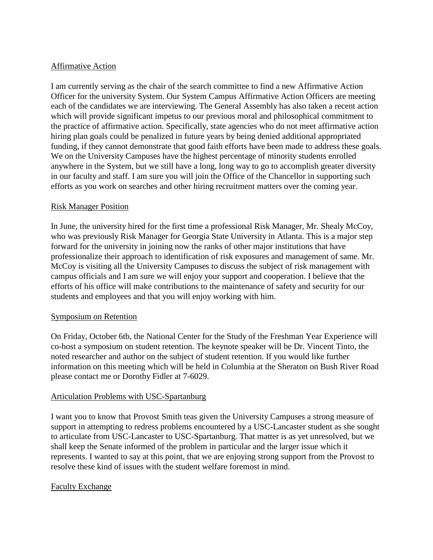# Affirmative Action

I am currently serving as the chair of the search committee to find a new Affirmative Action Officer for the university System. Our System Campus Affirmative Action Officers are meeting each of the candidates we are interviewing. The General Assembly has also taken a recent action which will provide significant impetus to our previous moral and philosophical commitment to the practice of affirmative action. Specifically, state agencies who do not meet affirmative action hiring plan goals could be penalized in future years by being denied additional appropriated funding, if they cannot demonstrate that good faith efforts have been made to address these goals. We on the University Campuses have the highest percentage of minority students enrolled anywhere in the System, but we still have a long, long way to go to accomplish greater diversity in our faculty and staff. I am sure you will join the Office of the Chancellor in supporting such efforts as you work on searches and other hiring recruitment matters over the coming year.

# Risk Manager Position

In June, the university hired for the first time a professional Risk Manager, Mr. Shealy McCoy, who was previously Risk Manager for Georgia State University in Atlanta. This is a major step forward for the university in joining now the ranks of other major institutions that have professionalize their approach to identification of risk exposures and management of same. Mr. McCoy is visiting all the University Campuses to discuss the subject of risk management with campus officials and I am sure we will enjoy your support and cooperation. I believe that the efforts of his office will make contributions to the maintenance of safety and security for our students and employees and that you will enjoy working with him.

# Symposium on Retention

On Friday, October 6tb, the National Center for the Study of the Freshman Year Experience will co-host a symposium on student retention. The keynote speaker will be Dr. Vincent Tinto, the noted researcher and author on the subject of student retention. If you would like further information on this meeting which will be held in Columbia at the Sheraton on Bush River Road please contact me or Dorothy Fidler at 7-6029.

# Articulation Problems with USC-Spartanburg

I want you to know that Provost Smith teas given the University Campuses a strong measure of support in attempting to redress problems encountered by a USC-Lancaster student as she sought to articulate from USC-Lancaster to USC-Spartanburg. That matter is as yet unresolved, but we shall keep the Senate informed of the problem in particular and the larger issue which it represents. I wanted to say at this point, that we are enjoying strong support from the Provost to resolve these kind of issues with the student welfare foremost in mind.

# Faculty Exchange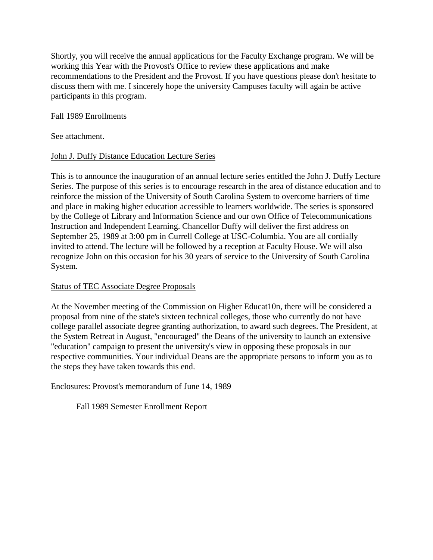Shortly, you will receive the annual applications for the Faculty Exchange program. We will be working this Year with the Provost's Office to review these applications and make recommendations to the President and the Provost. If you have questions please don't hesitate to discuss them with me. I sincerely hope the university Campuses faculty will again be active participants in this program.

# Fall 1989 Enrollments

See attachment.

# John J. Duffy Distance Education Lecture Series

This is to announce the inauguration of an annual lecture series entitled the John J. Duffy Lecture Series. The purpose of this series is to encourage research in the area of distance education and to reinforce the mission of the University of South Carolina System to overcome barriers of time and place in making higher education accessible to learners worldwide. The series is sponsored by the College of Library and Information Science and our own Office of Telecommunications Instruction and Independent Learning. Chancellor Duffy will deliver the first address on September 25, 1989 at 3:00 pm in Currell College at USC-Columbia. You are all cordially invited to attend. The lecture will be followed by a reception at Faculty House. We will also recognize John on this occasion for his 30 years of service to the University of South Carolina System.

### Status of TEC Associate Degree Proposals

At the November meeting of the Commission on Higher Educat10n, there will be considered a proposal from nine of the state's sixteen technical colleges, those who currently do not have college parallel associate degree granting authorization, to award such degrees. The President, at the System Retreat in August, "encouraged" the Deans of the university to launch an extensive "education" campaign to present the university's view in opposing these proposals in our respective communities. Your individual Deans are the appropriate persons to inform you as to the steps they have taken towards this end.

Enclosures: Provost's memorandum of June 14, 1989

Fall 1989 Semester Enrollment Report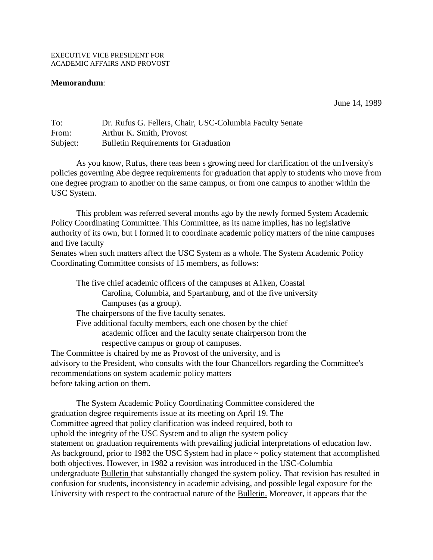#### **Memorandum**:

June 14, 1989

| To:      | Dr. Rufus G. Fellers, Chair, USC-Columbia Faculty Senate |
|----------|----------------------------------------------------------|
| From:    | Arthur K. Smith, Provost                                 |
| Subject: | <b>Bulletin Requirements for Graduation</b>              |

As you know, Rufus, there teas been s growing need for clarification of the un1versity's policies governing Abe degree requirements for graduation that apply to students who move from one degree program to another on the same campus, or from one campus to another within the USC System.

This problem was referred several months ago by the newly formed System Academic Policy Coordinating Committee. This Committee, as its name implies, has no legislative authority of its own, but I formed it to coordinate academic policy matters of the nine campuses and five faculty

Senates when such matters affect the USC System as a whole. The System Academic Policy Coordinating Committee consists of 15 members, as follows:

The five chief academic officers of the campuses at A1ken, Coastal Carolina, Columbia, and Spartanburg, and of the five university Campuses (as a group). The chairpersons of the five faculty senates. Five additional faculty members, each one chosen by the chief academic officer and the faculty senate chairperson from the respective campus or group of campuses. The Committee is chaired by me as Provost of the university, and is advisory to the President, who consults with the four Chancellors regarding the Committee's recommendations on system academic policy matters

before taking action on them.

The System Academic Policy Coordinating Committee considered the graduation degree requirements issue at its meeting on April 19. The Committee agreed that policy clarification was indeed required, both to uphold the integrity of the USC System and to align the system policy statement on graduation requirements with prevailing judicial interpretations of education law. As background, prior to 1982 the USC System had in place  $\sim$  policy statement that accomplished both objectives. However, in 1982 a revision was introduced in the USC-Columbia undergraduate Bulletin that substantially changed the system policy. That revision has resulted in confusion for students, inconsistency in academic advising, and possible legal exposure for the University with respect to the contractual nature of the Bulletin. Moreover, it appears that the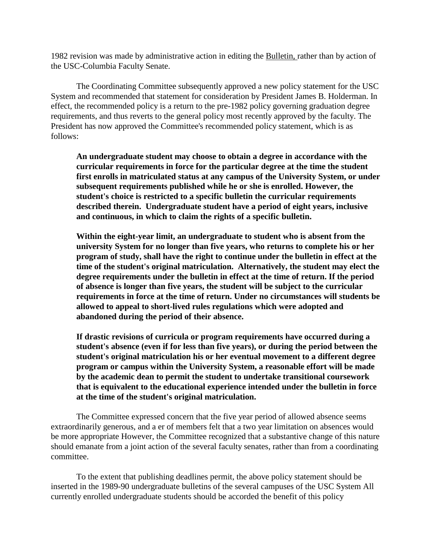1982 revision was made by administrative action in editing the Bulletin, rather than by action of the USC-Columbia Faculty Senate.

The Coordinating Committee subsequently approved a new policy statement for the USC System and recommended that statement for consideration by President James B. Holderman. In effect, the recommended policy is a return to the pre-1982 policy governing graduation degree requirements, and thus reverts to the general policy most recently approved by the faculty. The President has now approved the Committee's recommended policy statement, which is as follows:

**An undergraduate student may choose to obtain a degree in accordance with the curricular requirements in force for the particular degree at the time the student first enrolls in matriculated status at any campus of the University System, or under subsequent requirements published while he or she is enrolled. However, the student's choice is restricted to a specific bulletin the curricular requirements described therein. Undergraduate student have a period of eight years, inclusive and continuous, in which to claim the rights of a specific bulletin.**

**Within the eight-year limit, an undergraduate to student who is absent from the university System for no longer than five years, who returns to complete his or her program of study, shall have the right to continue under the bulletin in effect at the time of the student's original matriculation. Alternatively, the student may elect the degree requirements under the bulletin in effect at the time of return. If the period of absence is longer than five years, the student will be subject to the curricular requirements in force at the time of return. Under no circumstances will students be allowed to appeal to short-lived rules regulations which were adopted and abandoned during the period of their absence.**

**If drastic revisions of curricula or program requirements have occurred during a student's absence (even if for less than five years), or during the period between the student's original matriculation his or her eventual movement to a different degree program or campus within the University System, a reasonable effort will be made by the academic dean to permit the student to undertake transitional coursework that is equivalent to the educational experience intended under the bulletin in force at the time of the student's original matriculation.**

The Committee expressed concern that the five year period of allowed absence seems extraordinarily generous, and a er of members felt that a two year limitation on absences would be more appropriate However, the Committee recognized that a substantive change of this nature should emanate from a joint action of the several faculty senates, rather than from a coordinating committee.

To the extent that publishing deadlines permit, the above policy statement should be inserted in the 1989-90 undergraduate bulletins of the several campuses of the USC System All currently enrolled undergraduate students should be accorded the benefit of this policy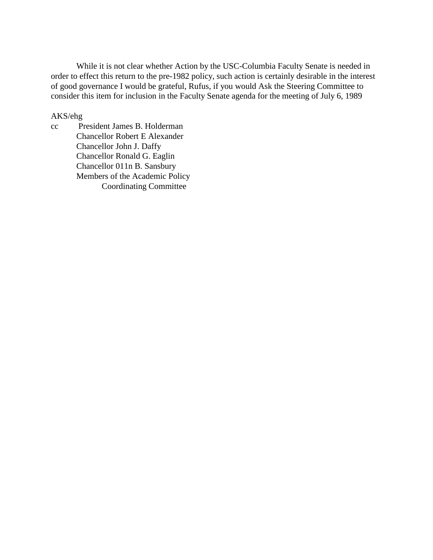While it is not clear whether Action by the USC-Columbia Faculty Senate is needed in order to effect this return to the pre-1982 policy, such action is certainly desirable in the interest of good governance I would be grateful, Rufus, if you would Ask the Steering Committee to consider this item for inclusion in the Faculty Senate agenda for the meeting of July 6, 1989

#### AKS/ehg

cc President James B. Holderman Chancellor Robert E Alexander Chancellor John J. Daffy Chancellor Ronald G. Eaglin Chancellor 011n B. Sansbury Members of the Academic Policy Coordinating Committee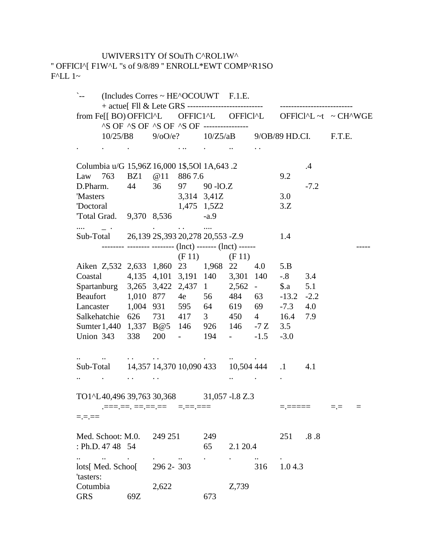# UWIVERS1TY Of SOuTh C^ROL1W^ '' OFFICI^[ F1W^L "s of 9/8/89 '' ENROLL\*EWT COMP^R1SO F^LL 1~

| $\sum_{i=1}^{n}$                                                                                                                                                                                                                                                                                          | $(Includes \, Correspond \sim HE^{\wedge}OCOUWT \quad F.1.E.$ |           |             |             |                                     |     |             |         |        |  |
|-----------------------------------------------------------------------------------------------------------------------------------------------------------------------------------------------------------------------------------------------------------------------------------------------------------|---------------------------------------------------------------|-----------|-------------|-------------|-------------------------------------|-----|-------------|---------|--------|--|
| from Fe[[ BO) OFFICI^L OFFICI^L OFFICI^L OFFICI^L ~t ~ CH^WGE                                                                                                                                                                                                                                             |                                                               |           |             |             |                                     |     |             |         |        |  |
|                                                                                                                                                                                                                                                                                                           | ^S OF ^S OF ^S OF ^S OF ----------------                      |           |             |             |                                     |     |             |         |        |  |
|                                                                                                                                                                                                                                                                                                           | $10/25/B8$ $9/00/e$ ? $10/Z5/aB$ $9/0B/89$ HD.CI.             |           |             |             |                                     |     |             |         | F.T.E. |  |
| and the contract of the contract of the contract of the contract of the contract of                                                                                                                                                                                                                       |                                                               |           |             |             |                                     |     |             |         |        |  |
| Columbia u/G 15,96Z 16,000 1\$,50l 1A,643.2                                                                                                                                                                                                                                                               |                                                               |           |             |             |                                     |     |             | $\cdot$ |        |  |
| Law 763 BZ1 @11 8867.6                                                                                                                                                                                                                                                                                    |                                                               |           |             |             |                                     |     | 9.2         |         |        |  |
| D.Pharm. 44 36 97 90 - IO.Z                                                                                                                                                                                                                                                                               |                                                               |           |             |             |                                     |     |             | $-7.2$  |        |  |
| 'Masters                                                                                                                                                                                                                                                                                                  |                                                               |           |             | 3,314 3,41Z |                                     |     | 3.0         |         |        |  |
| 'Doctoral                                                                                                                                                                                                                                                                                                 |                                                               |           | 1,475 1,5Z2 |             |                                     |     | 3.Z         |         |        |  |
| Total Grad. 9,370 8,536 -a.9                                                                                                                                                                                                                                                                              |                                                               |           |             |             |                                     |     |             |         |        |  |
| and the property of the set of the set of the set of the $\alpha$<br>Sub-Total 26,139 2S,393 20,278 20,553 -Z.9                                                                                                                                                                                           |                                                               |           |             |             |                                     |     | 1.4         |         |        |  |
| -------- -------- -------- (lnct) ------- (lnct) ------                                                                                                                                                                                                                                                   |                                                               |           |             |             |                                     |     |             |         |        |  |
|                                                                                                                                                                                                                                                                                                           |                                                               |           |             |             | $(F 11)$ $(F 11)$                   |     |             |         |        |  |
| Aiken Z,532 2,633 1,860 23 1,968 22                                                                                                                                                                                                                                                                       |                                                               |           |             |             |                                     | 4.0 | 5.B         |         |        |  |
| Coastal 4,135 4,101 3,191 140 3,301 140                                                                                                                                                                                                                                                                   |                                                               |           |             |             |                                     |     | $-8$        | 3.4     |        |  |
| Spartanburg 3,265 3,422 2,437 1 2,562 -                                                                                                                                                                                                                                                                   |                                                               |           |             |             |                                     |     | $\delta$ .a | 5.1     |        |  |
| Beaufort 1,010 877 4e 56 484                                                                                                                                                                                                                                                                              |                                                               |           |             |             |                                     | 63  | $-13.2$     | $-2.2$  |        |  |
| Lancaster 1,004 931 595 64 619 69                                                                                                                                                                                                                                                                         |                                                               |           |             |             |                                     |     | $-7.3$      | 4.0     |        |  |
| Salkehatchie 626 731 417 3 450 4 16.4                                                                                                                                                                                                                                                                     |                                                               |           |             |             |                                     |     |             | 7.9     |        |  |
| Sumter 1,440 1,337 B@5 146 926 146 -7 Z 3.5                                                                                                                                                                                                                                                               |                                                               |           |             |             |                                     |     |             |         |        |  |
| Union 343 338 200 - 194 - -1.5 -3.0                                                                                                                                                                                                                                                                       |                                                               |           |             |             |                                     |     |             |         |        |  |
| and the contract of the contract of the contract of the contract of the contract of the contract of the contract of                                                                                                                                                                                       |                                                               |           |             |             | $\sim 10^{-10}$ and $\sim 10^{-10}$ |     |             |         |        |  |
| Sub-Total 14,357 14,370 10,090 433 10,504 444 1                                                                                                                                                                                                                                                           |                                                               |           |             |             |                                     |     |             | 4.1     |        |  |
| <b>All Contracts</b>                                                                                                                                                                                                                                                                                      |                                                               |           |             |             |                                     |     |             |         |        |  |
| TO1^L40,496 39,763 30,368 31,057 -1.8 Z.3                                                                                                                                                                                                                                                                 |                                                               |           |             |             |                                     |     |             |         |        |  |
| $\frac{1}{1}$ , $\frac{1}{1}$ , $\frac{1}{1}$ , $\frac{1}{1}$ , $\frac{1}{1}$ , $\frac{1}{1}$ , $\frac{1}{1}$ , $\frac{1}{1}$ , $\frac{1}{1}$ , $\frac{1}{1}$ , $\frac{1}{1}$ , $\frac{1}{1}$ , $\frac{1}{1}$ , $\frac{1}{1}$ , $\frac{1}{1}$ , $\frac{1}{1}$ , $\frac{1}{1}$ , $\frac{1}{1}$ , $\frac{1$ |                                                               |           |             |             |                                     |     |             |         |        |  |
| $=$ . $=$ . $=$ $=$                                                                                                                                                                                                                                                                                       |                                                               |           |             |             |                                     |     |             |         |        |  |
| Med. Schoot: M.0.                                                                                                                                                                                                                                                                                         |                                                               | 249 251   |             | 249         |                                     |     | 251         | .8.8    |        |  |
| : Ph.D. 47 48 54                                                                                                                                                                                                                                                                                          |                                                               |           |             | 65          | 2.1 20.4                            |     |             |         |        |  |
| $\ldots$<br>lots[ Med. Schoo[                                                                                                                                                                                                                                                                             |                                                               | 296 2-303 |             |             |                                     | 316 | 1.0 4.3     |         |        |  |
| 'tasters:                                                                                                                                                                                                                                                                                                 |                                                               |           |             |             |                                     |     |             |         |        |  |
| Cotumbia                                                                                                                                                                                                                                                                                                  |                                                               | 2,622     |             |             | Z,739                               |     |             |         |        |  |
| <b>GRS</b>                                                                                                                                                                                                                                                                                                | 69Z                                                           |           |             | 673         |                                     |     |             |         |        |  |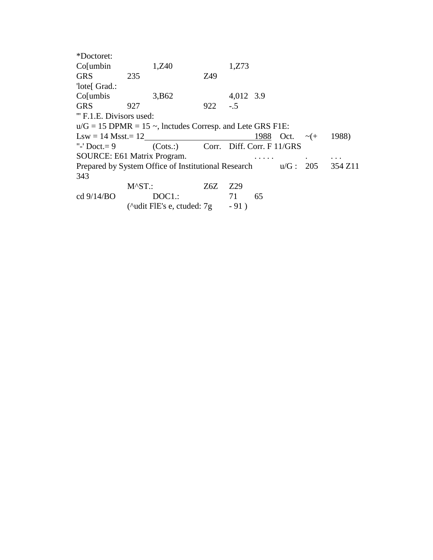| *Doctoret:                  |                   |                                                                                           |     |           |    |                     |       |
|-----------------------------|-------------------|-------------------------------------------------------------------------------------------|-----|-----------|----|---------------------|-------|
| Co[umbin]                   |                   | 1,Z40                                                                                     |     | 1, Z73    |    |                     |       |
| <b>GRS</b>                  | 235               |                                                                                           | Z49 |           |    |                     |       |
| 'lote[ Grad.:               |                   |                                                                                           |     |           |    |                     |       |
| Co[umbis]                   |                   | 3,B62                                                                                     |     | 4,012 3.9 |    |                     |       |
| <b>GRS</b>                  | 927               |                                                                                           | 922 | $-.5$     |    |                     |       |
| "'F.1.E. Divisors used:     |                   |                                                                                           |     |           |    |                     |       |
|                             |                   | $u/G = 15$ DPMR = 15 $\sim$ , Inctudes Corresp. and Lete GRS F1E:                         |     |           |    |                     |       |
| $Lsw = 14$ Msst. = $12$     |                   |                                                                                           |     |           |    | 1988 Oct. $\sim$ (+ | 1988) |
|                             |                   | "-'Doct.=9 $(Cots.)$ Corr. Diff. Corr. F 11/GRS                                           |     |           |    |                     |       |
| SOURCE: E61 Matrix Program. |                   |                                                                                           |     |           |    |                     |       |
|                             |                   | Prepared by System Office of Institutional Research $u/G: 205 \quad 354 \text{ Z}11$      |     |           |    |                     |       |
| 343                         |                   |                                                                                           |     |           |    |                     |       |
|                             | $M^{\wedge}ST$ .: |                                                                                           | Z6Z | Z29       |    |                     |       |
| cd $9/14/BO$                |                   | $DOC1$ .:                                                                                 |     | 71        | 65 |                     |       |
|                             |                   | $(\text{^\text{4}} \text{ did} \text{ FIE's e}, \text{ cutded: } 7 \text{ g} \qquad -91)$ |     |           |    |                     |       |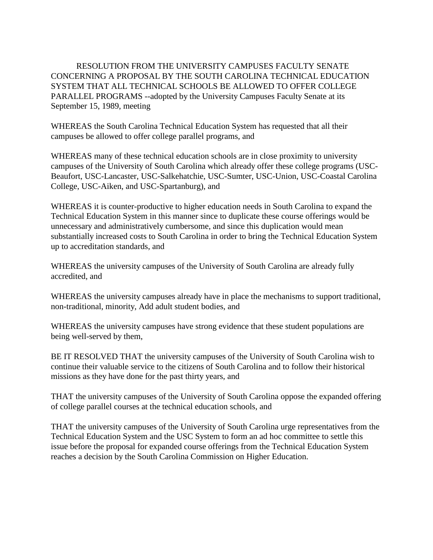RESOLUTION FROM THE UNIVERSITY CAMPUSES FACULTY SENATE CONCERNING A PROPOSAL BY THE SOUTH CAROLINA TECHNICAL EDUCATION SYSTEM THAT ALL TECHNICAL SCHOOLS BE ALLOWED TO OFFER COLLEGE PARALLEL PROGRAMS --adopted by the University Campuses Faculty Senate at its September 15, 1989, meeting

WHEREAS the South Carolina Technical Education System has requested that all their campuses be allowed to offer college parallel programs, and

WHEREAS many of these technical education schools are in close proximity to university campuses of the University of South Carolina which already offer these college programs (USC-Beaufort, USC-Lancaster, USC-Salkehatchie, USC-Sumter, USC-Union, USC-Coastal Carolina College, USC-Aiken, and USC-Spartanburg), and

WHEREAS it is counter-productive to higher education needs in South Carolina to expand the Technical Education System in this manner since to duplicate these course offerings would be unnecessary and administratively cumbersome, and since this duplication would mean substantially increased costs to South Carolina in order to bring the Technical Education System up to accreditation standards, and

WHEREAS the university campuses of the University of South Carolina are already fully accredited, and

WHEREAS the university campuses already have in place the mechanisms to support traditional, non-traditional, minority, Add adult student bodies, and

WHEREAS the university campuses have strong evidence that these student populations are being well-served by them,

BE IT RESOLVED THAT the university campuses of the University of South Carolina wish to continue their valuable service to the citizens of South Carolina and to follow their historical missions as they have done for the past thirty years, and

THAT the university campuses of the University of South Carolina oppose the expanded offering of college parallel courses at the technical education schools, and

THAT the university campuses of the University of South Carolina urge representatives from the Technical Education System and the USC System to form an ad hoc committee to settle this issue before the proposal for expanded course offerings from the Technical Education System reaches a decision by the South Carolina Commission on Higher Education.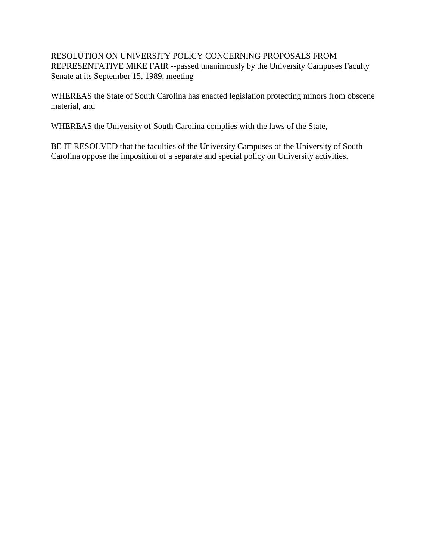RESOLUTION ON UNIVERSITY POLICY CONCERNING PROPOSALS FROM REPRESENTATIVE MIKE FAIR --passed unanimously by the University Campuses Faculty Senate at its September 15, 1989, meeting

WHEREAS the State of South Carolina has enacted legislation protecting minors from obscene material, and

WHEREAS the University of South Carolina complies with the laws of the State,

BE IT RESOLVED that the faculties of the University Campuses of the University of South Carolina oppose the imposition of a separate and special policy on University activities.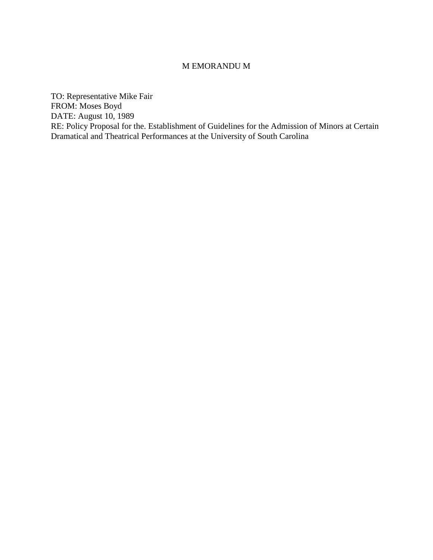#### M EMORANDU M

TO: Representative Mike Fair FROM: Moses Boyd DATE: August 10, 1989 RE: Policy Proposal for the. Establishment of Guidelines for the Admission of Minors at Certain Dramatical and Theatrical Performances at the University of South Carolina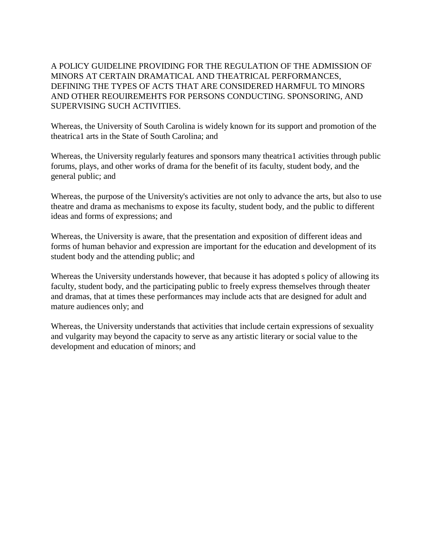A POLICY GUIDELINE PROVIDING FOR THE REGULATION OF THE ADMISSION OF MINORS AT CERTAIN DRAMATICAL AND THEATRICAL PERFORMANCES, DEFINING THE TYPES OF ACTS THAT ARE CONSIDERED HARMFUL TO MINORS AND OTHER REOUIREMEHTS FOR PERSONS CONDUCTING. SPONSORING, AND SUPERVISING SUCH ACTIVITIES.

Whereas, the University of South Carolina is widely known for its support and promotion of the theatrica1 arts in the State of South Carolina; and

Whereas, the University regularly features and sponsors many theatrica1 activities through public forums, plays, and other works of drama for the benefit of its faculty, student body, and the general public; and

Whereas, the purpose of the University's activities are not only to advance the arts, but also to use theatre and drama as mechanisms to expose its faculty, student body, and the public to different ideas and forms of expressions; and

Whereas, the University is aware, that the presentation and exposition of different ideas and forms of human behavior and expression are important for the education and development of its student body and the attending public; and

Whereas the University understands however, that because it has adopted s policy of allowing its faculty, student body, and the participating public to freely express themselves through theater and dramas, that at times these performances may include acts that are designed for adult and mature audiences only; and

Whereas, the University understands that activities that include certain expressions of sexuality and vulgarity may beyond the capacity to serve as any artistic literary or social value to the development and education of minors; and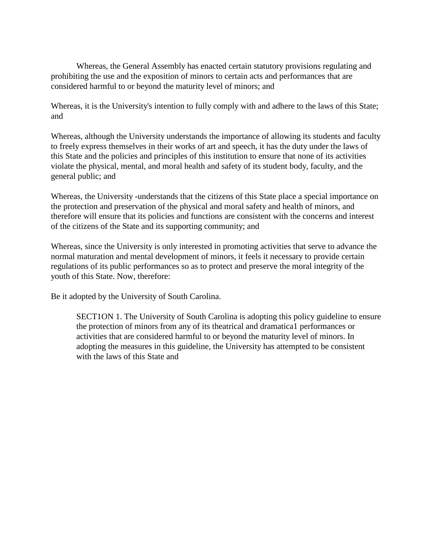Whereas, the General Assembly has enacted certain statutory provisions regulating and prohibiting the use and the exposition of minors to certain acts and performances that are considered harmful to or beyond the maturity level of minors; and

Whereas, it is the University's intention to fully comply with and adhere to the laws of this State; and

Whereas, although the University understands the importance of allowing its students and faculty to freely express themselves in their works of art and speech, it has the duty under the laws of this State and the policies and principles of this institution to ensure that none of its activities violate the physical, mental, and moral health and safety of its student body, faculty, and the general public; and

Whereas, the University -understands that the citizens of this State place a special importance on the protection and preservation of the physical and moral safety and health of minors, and therefore will ensure that its policies and functions are consistent with the concerns and interest of the citizens of the State and its supporting community; and

Whereas, since the University is only interested in promoting activities that serve to advance the normal maturation and mental development of minors, it feels it necessary to provide certain regulations of its public performances so as to protect and preserve the moral integrity of the youth of this State. Now, therefore:

Be it adopted by the University of South Carolina.

SECT1ON 1. The University of South Carolina is adopting this policy guideline to ensure the protection of minors from any of its theatrical and dramatica1 performances or activities that are considered harmful to or beyond the maturity level of minors. In adopting the measures in this guideline, the University has attempted to be consistent with the laws of this State and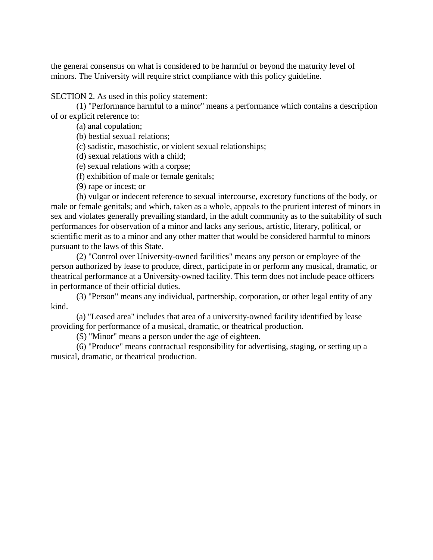the general consensus on what is considered to be harmful or beyond the maturity level of minors. The University will require strict compliance with this policy guideline.

SECTION 2. As used in this policy statement:

(1) "Performance harmful to a minor" means a performance which contains a description of or explicit reference to:

(a) anal copulation;

(b) bestial sexua1 relations;

(c) sadistic, masochistic, or violent sexual relationships;

(d) sexual relations with a child;

(e) sexual relations with a corpse;

(f) exhibition of male or female genitals;

(9) rape or incest; or

(h) vulgar or indecent reference to sexual intercourse, excretory functions of the body, or male or female genitals; and which, taken as a whole, appeals to the prurient interest of minors in sex and violates generally prevailing standard, in the adult community as to the suitability of such performances for observation of a minor and lacks any serious, artistic, literary, political, or scientific merit as to a minor and any other matter that would be considered harmful to minors pursuant to the laws of this State.

(2) "Control over University-owned facilities" means any person or employee of the person authorized by lease to produce, direct, participate in or perform any musical, dramatic, or theatrical performance at a University-owned facility. This term does not include peace officers in performance of their official duties.

(3) "Person" means any individual, partnership, corporation, or other legal entity of any kind.

(a) "Leased area" includes that area of a university-owned facility identified by lease providing for performance of a musical, dramatic, or theatrical production.

(S) "Minor" means a person under the age of eighteen.

(6) "Produce" means contractual responsibility for advertising, staging, or setting up a musical, dramatic, or theatrical production.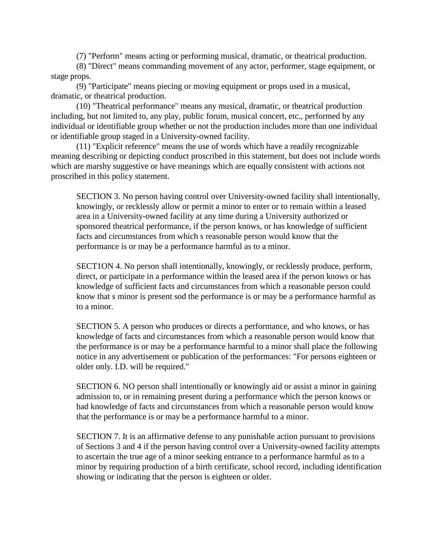(7) "Perform" means acting or performing musical, dramatic, or theatrical production.

(8) "Direct" means commanding movement of any actor, performer, stage equipment, or stage props.

(9) "Participate" means piecing or moving equipment or props used in a musical, dramatic, or theatrical production.

(10) "Theatrical performance" means any musical, dramatic, or theatrical production including, but not limited to, any play, public forum, musical concert, etc., performed by any individual or identifiable group whether or not the production includes more than one individual or identifiable group staged in a University-owned facility.

(11) "Explicit reference" means the use of words which have a readily recognizable meaning describing or depicting conduct proscribed in this statement, but does not include words which are marshy suggestive or have meanings which are equally consistent with actions not proscribed in this policy statement.

SECTION 3. No person having control over University-owned facility shall intentionally, knowingly, or recklessly allow or permit a minor to enter or to remain within a leased area in a University-owned facility at any time during a University authorized or sponsored theatrical performance, if the person knows, or has knowledge of sufficient facts and circumstances from which s reasonable person would know that the performance is or may be a performance harmful as to a minor.

SECT1ON 4. No person shall intentionally, knowingly, or recklessly produce, perform, direct, or participate in a performance within the leased area if the person knows or has knowledge of sufficient facts and circumstances from which a reasonable person could know that s minor is present sod the performance is or may be a performance harmful as to a minor.

SECTION 5. A person who produces or directs a performance, and who knows, or has knowledge of facts and circumstances from which a reasonable person would know that the performance is or may be a performance harmful to a minor shall place the following notice in any advertisement or publication of the performances: "For persons eighteen or older only. I.D. will be required."

SECTION 6. NO person shall intentionally or knowingly aid or assist a minor in gaining admission to, or in remaining present during a performance which the person knows or had knowledge of facts and circumstances from which a reasonable person would know that the performance is or may be a performance harmful to a minor.

SECTION 7. It is an affirmative defense to any punishable action pursuant to provisions of Sections 3 and 4 if the person having control over a University-owned facility attempts to ascertain the true age of a minor seeking entrance to a performance harmful as to a minor by requiring production of a birth certificate, school record, including identification showing or indicating that the person is eighteen or older.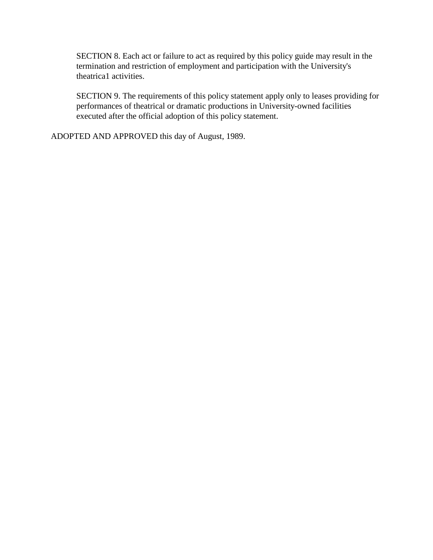SECTION 8. Each act or failure to act as required by this policy guide may result in the termination and restriction of employment and participation with the University's theatrica1 activities.

SECTION 9. The requirements of this policy statement apply only to leases providing for performances of theatrical or dramatic productions in University-owned facilities executed after the official adoption of this policy statement.

ADOPTED AND APPROVED this day of August, 1989.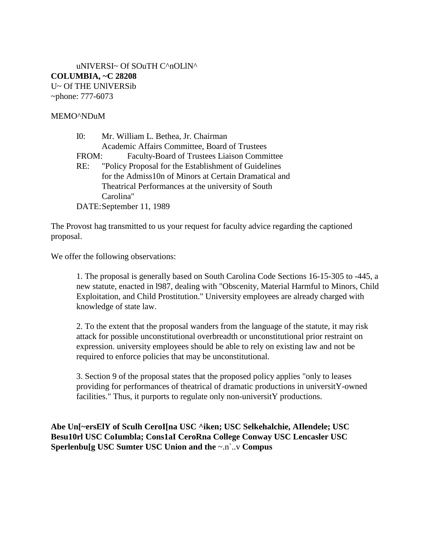uNIVERSI~ Of SOuTH C^nOLlN^ **COLUMBIA, ~C 28208** U~ Of THE UNlVERSib ~phone: 777-6073

#### MEMO^NDuM

| I0:   | Mr. William L. Bethea, Jr. Chairman                      |
|-------|----------------------------------------------------------|
|       | Academic Affairs Committee, Board of Trustees            |
| FROM: | Faculty-Board of Trustees Liaison Committee              |
|       | RE: "Policy Proposal for the Establishment of Guidelines |
|       | for the Admiss10n of Minors at Certain Dramatical and    |
|       | Theatrical Performances at the university of South       |
|       | Carolina"                                                |
|       | DATE: September 11, 1989                                 |

The Provost hag transmitted to us your request for faculty advice regarding the captioned proposal.

We offer the following observations:

1. The proposal is generally based on South Carolina Code Sections 16-15-305 to -445, a new statute, enacted in l987, dealing with "Obscenity, Material Harmful to Minors, Child Exploitation, and Child Prostitution." University employees are already charged with knowledge of state law.

2. To the extent that the proposal wanders from the language of the statute, it may risk attack for possible unconstitutional overbreadth or unconstitutional prior restraint on expression. university employees should be able to rely on existing law and not be required to enforce policies that may be unconstitutional.

3. Section 9 of the proposal states that the proposed policy applies "only to leases providing for performances of theatrical of dramatic productions in universitY-owned facilities." Thus, it purports to regulate only non-universitY productions.

**Abe Un[~ersElY of Sculh CeroI[na USC ^iken; USC Selkehalchie, AIlendele; USC Besu10rl USC CoIumbla; Cons1aI CeroRna College Conway USC Lencasler USC Sperlenbu[g USC Sumter USC Union and the** ~.n`..v **Compus**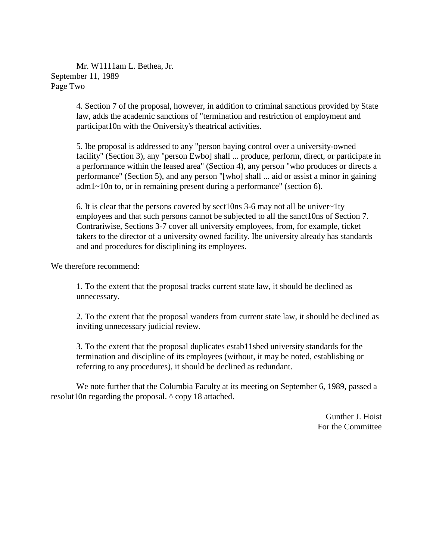Mr. W1111am L. Bethea, Jr. September 11, 1989 Page Two

> 4. Section 7 of the proposal, however, in addition to criminal sanctions provided by State law, adds the academic sanctions of "termination and restriction of employment and participat10n with the Oniversity's theatrical activities.

> 5. Ibe proposal is addressed to any "person baying control over a university-owned facility" (Section 3), any "person Ewbo] shall ... produce, perform, direct, or participate in a performance within the leased area" (Section 4), any person "who produces or directs a performance" (Section 5), and any person "[who] shall ... aid or assist a minor in gaining adm1~10n to, or in remaining present during a performance" (section 6).

6. It is clear that the persons covered by sect10ns 3-6 may not all be univer~1ty employees and that such persons cannot be subjected to all the sanct10ns of Section 7. Contrariwise, Sections 3-7 cover all university employees, from, for example, ticket takers to the director of a university owned facility. Ibe university already has standards and and procedures for disciplining its employees.

We therefore recommend:

1. To the extent that the proposal tracks current state law, it should be declined as unnecessary.

2. To the extent that the proposal wanders from current state law, it should be declined as inviting unnecessary judicial review.

3. To the extent that the proposal duplicates estab11sbed university standards for the termination and discipline of its employees (without, it may be noted, establisbing or referring to any procedures), it should be declined as redundant.

We note further that the Columbia Faculty at its meeting on September 6, 1989, passed a resolut10n regarding the proposal. ^ copy 18 attached.

> Gunther J. Hoist For the Committee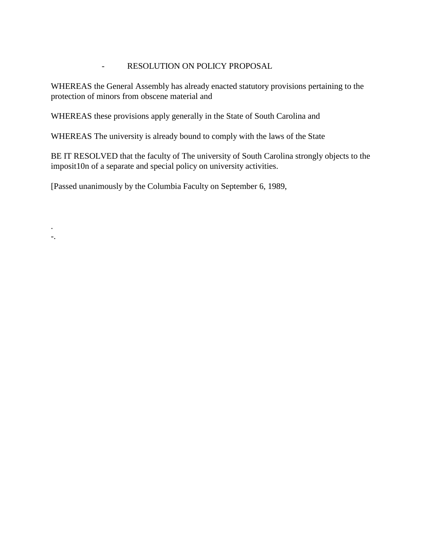# - RESOLUTION ON POLICY PROPOSAL

WHEREAS the General Assembly has already enacted statutory provisions pertaining to the protection of minors from obscene material and

WHEREAS these provisions apply generally in the State of South Carolina and

WHEREAS The university is already bound to comply with the laws of the State

BE IT RESOLVED that the faculty of The university of South Carolina strongly objects to the imposit10n of a separate and special policy on university activities.

[Passed unanimously by the Columbia Faculty on September 6, 1989,

. -.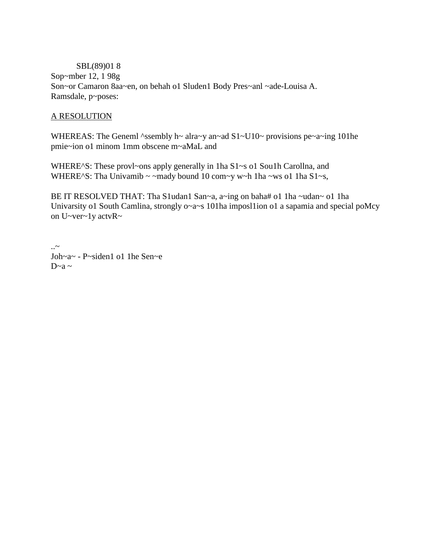SBL(89)01 8 Sop~mber 12, 1 98g Son~or Camaron 8aa~en, on behah o1 Sluden1 Body Pres~anl ~ade-Louisa A. Ramsdale, p~poses:

# A RESOLUTION

WHEREAS: The Geneml ^ssembly h~ alra~y an~ad  $S1$ ~U10~ provisions pe~a~ing 101he pmie~ion o1 minom 1mm obscene m~aMaL and

WHERE^S: These provl~ons apply generally in 1ha S1~s o1 Sou1h Carollna, and WHERE^S: Tha Univamib ~ ~mady bound 10 com~y w~h 1ha ~ws o1 1ha S1~s,

BE IT RESOLVED THAT: Tha S1udan1 San~a, a~ing on baha# o1 1ha ~udan~ o1 1ha Univarsity o1 South Camlina, strongly o~a~s 101ha imposl1ion o1 a sapamia and special poMcy on U~ver~1y actvR~

 $\sim$ Joh~a~ - P~siden1 o1 1he Sen~e  $D \sim a \sim$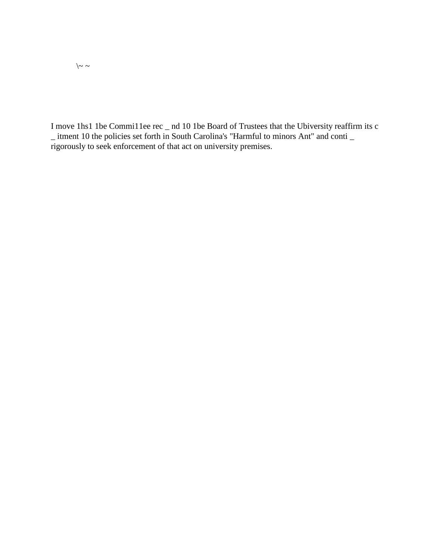I move 1hs1 1be Commi11ee rec \_ nd 10 1be Board of Trustees that the Ubiversity reaffirm its c \_ itment 10 the policies set forth in South Carolina's "Harmful to minors Ant" and conti \_ rigorously to seek enforcement of that act on university premises.

 $\backslash\sim$   $\sim$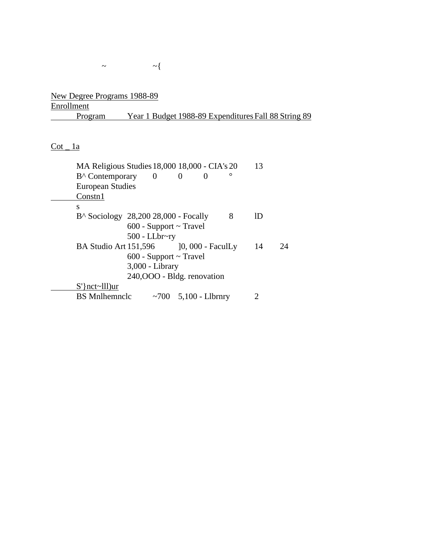New Degree Programs 1988-89 **Enrollment** Program Year 1 Budget 1988-89 Expenditures Fall 88 String 89

 $\frac{\text{Cot} - 1a}{\text{Cot} - 1a}$ 

| MA Religious Studies 18,000 18,000 - CIA's 20<br>$B^{\wedge}$ Contemporary 0<br>$\Omega$<br>$\mathbf{0}$<br><b>European Studies</b><br>Constn1 | 13 |    |
|------------------------------------------------------------------------------------------------------------------------------------------------|----|----|
| S                                                                                                                                              |    |    |
| $B^{\wedge}$ Sociology 28,200 28,000 - Focally<br>8                                                                                            | ID |    |
| $600$ - Support $\sim$ Travel                                                                                                                  |    |    |
| $500$ - LLbr~ry                                                                                                                                |    |    |
| BA Studio Art 151,596<br>$[0, 000 - FaculLy]$                                                                                                  | 14 | 24 |
| $600$ - Support $\sim$ Travel                                                                                                                  |    |    |
| 3,000 - Library                                                                                                                                |    |    |
| 240,000 - Bldg. renovation                                                                                                                     |    |    |
| $S'$ } nct~lll) ur                                                                                                                             |    |    |
| <b>BS</b> Mnlhemnclc<br>~700 $5,100$ - Llbrnry                                                                                                 |    |    |
|                                                                                                                                                |    |    |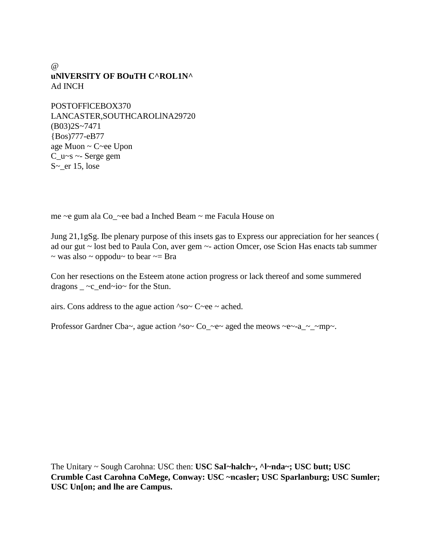$\omega$ **uNlVERSlTY OF BOuTH C^ROL1N^** Ad INCH

POSTOFFlCEBOX370 LANCASTER,SOUTHCAROLlNA29720 (B03)2S~7471 {Bos)777-eB77 age Muon ~ C~ee Upon C  $u-s$  ~- Serge gem S~\_er 15, lose

me ~e gum ala Co\_~ee bad a Inched Beam ~ me Facula House on

Jung 21,1gSg. Ibe plenary purpose of this insets gas to Express our appreciation for her seances ( ad our gut ~ lost bed to Paula Con, aver gem ~- action Omcer, ose Scion Has enacts tab summer  $\sim$  was also  $\sim$  oppodu $\sim$  to bear  $\sim$  = Bra

Con her resections on the Esteem atone action progress or lack thereof and some summered dragons  $\_\infty$  ~c\_end~io~ for the Stun.

airs. Cons address to the ague action  $\text{~}s\text{o}\text{~}C\text{~}ee$   $\sim$  ached.

Professor Gardner Cba~, ague action ^so~ Co\_~e~ aged the meows ~e~-a\_~\_~mp~.

The Unitary ~ Sough Carohna: USC then: **USC SaI~halch~, ^l~nda~; USC butt; USC Crumble Cast Carohna CoMege, Conway: USC ~ncasler; USC Sparlanburg; USC Sumler; USC Un[on; and lhe are Campus.**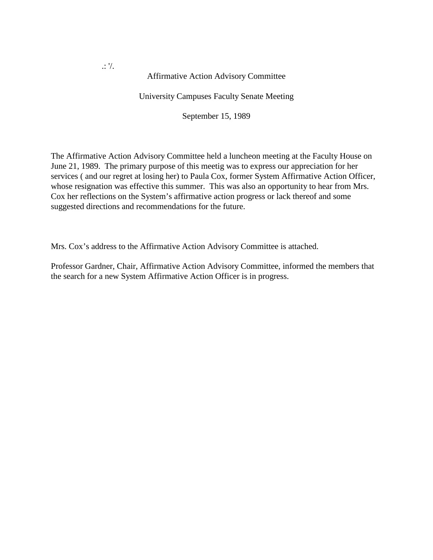.: '/.

Affirmative Action Advisory Committee

University Campuses Faculty Senate Meeting

September 15, 1989

The Affirmative Action Advisory Committee held a luncheon meeting at the Faculty House on June 21, 1989. The primary purpose of this meetig was to express our appreciation for her services ( and our regret at losing her) to Paula Cox, former System Affirmative Action Officer, whose resignation was effective this summer. This was also an opportunity to hear from Mrs. Cox her reflections on the System's affirmative action progress or lack thereof and some suggested directions and recommendations for the future.

Mrs. Cox's address to the Affirmative Action Advisory Committee is attached.

Professor Gardner, Chair, Affirmative Action Advisory Committee, informed the members that the search for a new System Affirmative Action Officer is in progress.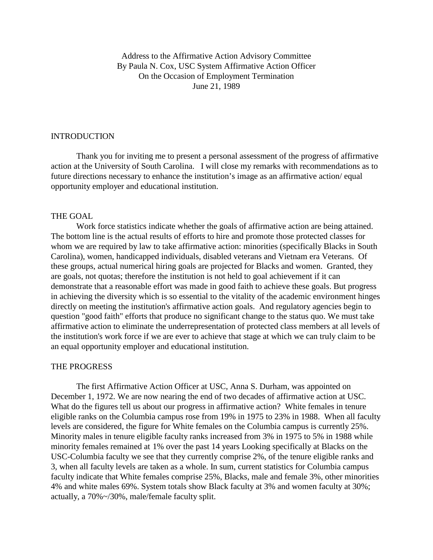Address to the Affirmative Action Advisory Committee By Paula N. Cox, USC System Affirmative Action Officer On the Occasion of Employment Termination June 21, 1989

#### INTRODUCTION

Thank you for inviting me to present a personal assessment of the progress of affirmative action at the University of South Carolina. I will close my remarks with recommendations as to future directions necessary to enhance the institution's image as an affirmative action/ equal opportunity employer and educational institution.

#### THE GOAL

Work force statistics indicate whether the goals of affirmative action are being attained. The bottom line is the actual results of efforts to hire and promote those protected classes for whom we are required by law to take affirmative action: minorities (specifically Blacks in South Carolina), women, handicapped individuals, disabled veterans and Vietnam era Veterans. Of these groups, actual numerical hiring goals are projected for Blacks and women. Granted, they are goals, not quotas; therefore the institution is not held to goal achievement if it can demonstrate that a reasonable effort was made in good faith to achieve these goals. But progress in achieving the diversity which is so essential to the vitality of the academic environment hinges directly on meeting the institution's affirmative action goals. And regulatory agencies begin to question "good faith" efforts that produce no significant change to the status quo. We must take affirmative action to eliminate the underrepresentation of protected class members at all levels of the institution's work force if we are ever to achieve that stage at which we can truly claim to be an equal opportunity employer and educational institution.

#### THE PROGRESS

The first Affirmative Action Officer at USC, Anna S. Durham, was appointed on December 1, 1972. We are now nearing the end of two decades of affirmative action at USC. What do the figures tell us about our progress in affirmative action? White females in tenure eligible ranks on the Columbia campus rose from 19% in 1975 to 23% in 1988. When all faculty levels are considered, the figure for White females on the Columbia campus is currently 25%. Minority males in tenure eligible faculty ranks increased from 3% in 1975 to 5% in 1988 while minority females remained at 1% over the past 14 years Looking specifically at Blacks on the USC-Columbia faculty we see that they currently comprise 2%, of the tenure eligible ranks and 3, when all faculty levels are taken as a whole. In sum, current statistics for Columbia campus faculty indicate that White females comprise 25%, Blacks, male and female 3%, other minorities 4% and white males 69%. System totals show Black faculty at 3% and women faculty at 30%; actually, a 70%~/30%, male/female faculty split.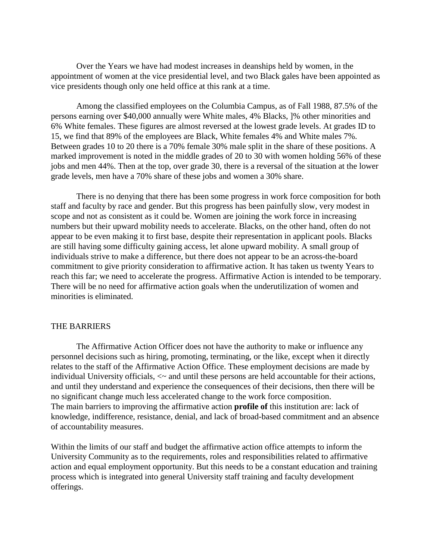Over the Years we have had modest increases in deanships held by women, in the appointment of women at the vice presidential level, and two Black gales have been appointed as vice presidents though only one held office at this rank at a time.

Among the classified employees on the Columbia Campus, as of Fall 1988, 87.5% of the persons earning over \$40,000 annually were White males, 4% Blacks, ]% other minorities and 6% White females. These figures are almost reversed at the lowest grade levels. At grades ID to 15, we find that 89% of the employees are Black, White females 4% and White males 7%. Between grades 10 to 20 there is a 70% female 30% male split in the share of these positions. A marked improvement is noted in the middle grades of 20 to 30 with women holding 56% of these jobs and men 44%. Then at the top, over grade 30, there is a reversal of the situation at the lower grade levels, men have a 70% share of these jobs and women a 30% share.

There is no denying that there has been some progress in work force composition for both staff and faculty by race and gender. But this progress has been painfully slow, very modest in scope and not as consistent as it could be. Women are joining the work force in increasing numbers but their upward mobility needs to accelerate. Blacks, on the other hand, often do not appear to be even making it to first base, despite their representation in applicant pools. Blacks are still having some difficulty gaining access, let alone upward mobility. A small group of individuals strive to make a difference, but there does not appear to be an across-the-board commitment to give priority consideration to affirmative action. It has taken us twenty Years to reach this far; we need to accelerate the progress. Affirmative Action is intended to be temporary. There will be no need for affirmative action goals when the underutilization of women and minorities is eliminated.

#### THE BARRIERS

The Affirmative Action Officer does not have the authority to make or influence any personnel decisions such as hiring, promoting, terminating, or the like, except when it directly relates to the staff of the Affirmative Action Office. These employment decisions are made by individual University officials, <~ and until these persons are held accountable for their actions, and until they understand and experience the consequences of their decisions, then there will be no significant change much less accelerated change to the work force composition. The main barriers to improving the affirmative action **profile of** this institution are: lack of knowledge, indifference, resistance, denial, and lack of broad-based commitment and an absence of accountability measures.

Within the limits of our staff and budget the affirmative action office attempts to inform the University Community as to the requirements, roles and responsibilities related to affirmative action and equal employment opportunity. But this needs to be a constant education and training process which is integrated into general University staff training and faculty development offerings.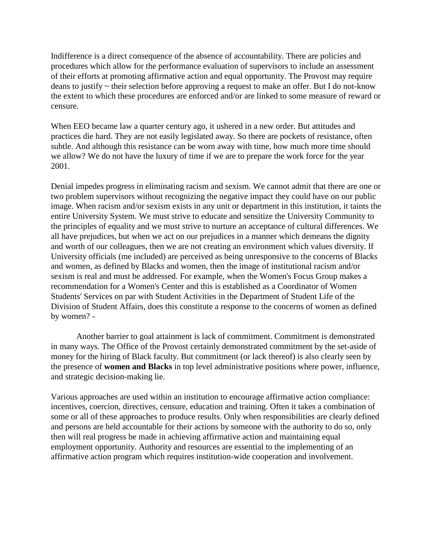Indifference is a direct consequence of the absence of accountability. There are policies and procedures which allow for the performance evaluation of supervisors to include an assessment of their efforts at promoting affirmative action and equal opportunity. The Provost may require deans to justify ~ their selection before approving a request to make an offer. But I do not-know the extent to which these procedures are enforced and/or are linked to some measure of reward or censure.

When EEO became law a quarter century ago, it ushered in a new order. But attitudes and practices die hard. They are not easily legislated away. So there are pockets of resistance, often subtle. And although this resistance can be worn away with time, how much more time should we allow? We do not have the luxury of time if we are to prepare the work force for the year 2001.

Denial impedes progress in eliminating racism and sexism. We cannot admit that there are one or two problem supervisors without recognizing the negative impact they could have on our public image. When racism and/or sexism exists in any unit or department in this institution, it taints the entire University System. We must strive to educate and sensitize the University Community to the principles of equality and we must strive to nurture an acceptance of cultural differences. We all have prejudices, but when we act on our prejudices in a manner which demeans the dignity and worth of our colleagues, then we are not creating an environment which values diversity. If University officials (me included) are perceived as being unresponsive to the concerns of Blacks and women, as defined by Blacks and women, then the image of institutional racism and/or sexism is real and must be addressed. For example, when the Women's Focus Group makes a recommendation for a Women's Center and this is established as a Coordinator of Women Students' Services on par with Student Activities in the Department of Student Life of the Division of Student Affairs, does this constitute a response to the concerns of women as defined by women? -

Another barrier to goal attainment is lack of commitment. Commitment is demonstrated in many ways. The Office of the Provost certainly demonstrated commitment by the set-aside of money for the hiring of Black faculty. But commitment (or lack thereof) is also clearly seen by the presence of **women and Blacks** in top level administrative positions where power, influence, and strategic decision-making lie.

Various approaches are used within an institution to encourage affirmative action compliance: incentives, coercion, directives, censure, education and training. Often it takes a combination of some or all of these approaches to produce results. Only when responsibilities are clearly defined and persons are held accountable for their actions by someone with the authority to do so, only then will real progress be made in achieving affirmative action and maintaining equal employment opportunity. Authority and resources are essential to the implementing of an affirmative action program which requires institution-wide cooperation and involvement.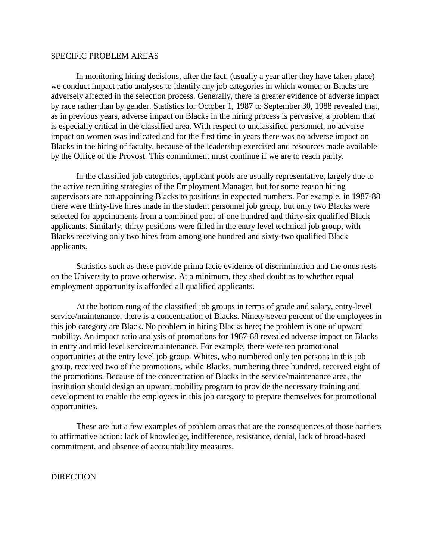#### SPECIFIC PROBLEM AREAS

In monitoring hiring decisions, after the fact, (usually a year after they have taken place) we conduct impact ratio analyses to identify any job categories in which women or Blacks are adversely affected in the selection process. Generally, there is greater evidence of adverse impact by race rather than by gender. Statistics for October 1, 1987 to September 30, 1988 revealed that, as in previous years, adverse impact on Blacks in the hiring process is pervasive, a problem that is especially critical in the classified area. With respect to unclassified personnel, no adverse impact on women was indicated and for the first time in years there was no adverse impact on Blacks in the hiring of faculty, because of the leadership exercised and resources made available by the Office of the Provost. This commitment must continue if we are to reach parity.

In the classified job categories, applicant pools are usually representative, largely due to the active recruiting strategies of the Employment Manager, but for some reason hiring supervisors are not appointing Blacks to positions in expected numbers. For example, in 1987-88 there were thirty-five hires made in the student personnel job group, but only two Blacks were selected for appointments from a combined pool of one hundred and thirty-six qualified Black applicants. Similarly, thirty positions were filled in the entry level technical job group, with Blacks receiving only two hires from among one hundred and sixty-two qualified Black applicants.

Statistics such as these provide prima facie evidence of discrimination and the onus rests on the University to prove otherwise. At a minimum, they shed doubt as to whether equal employment opportunity is afforded all qualified applicants.

At the bottom rung of the classified job groups in terms of grade and salary, entry-level service/maintenance, there is a concentration of Blacks. Ninety-seven percent of the employees in this job category are Black. No problem in hiring Blacks here; the problem is one of upward mobility. An impact ratio analysis of promotions for 1987-88 revealed adverse impact on Blacks in entry and mid level service/maintenance. For example, there were ten promotional opportunities at the entry level job group. Whites, who numbered only ten persons in this job group, received two of the promotions, while Blacks, numbering three hundred, received eight of the promotions. Because of the concentration of Blacks in the service/maintenance area, the institution should design an upward mobility program to provide the necessary training and development to enable the employees in this job category to prepare themselves for promotional opportunities.

These are but a few examples of problem areas that are the consequences of those barriers to affirmative action: lack of knowledge, indifference, resistance, denial, lack of broad-based commitment, and absence of accountability measures.

**DIRECTION**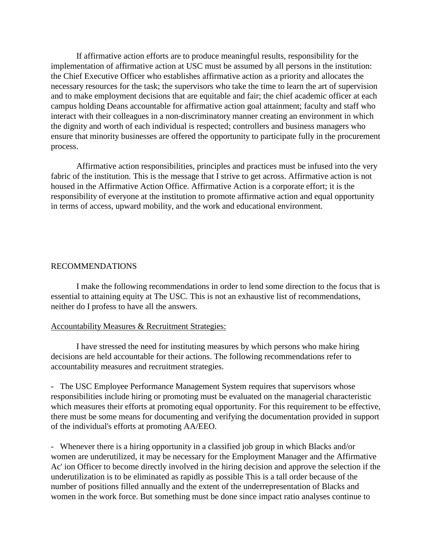If affirmative action efforts are to produce meaningful results, responsibility for the implementation of affirmative action at USC must be assumed by all persons in the institution: the Chief Executive Officer who establishes affirmative action as a priority and allocates the necessary resources for the task; the supervisors who take the time to learn the art of supervision and to make employment decisions that are equitable and fair; the chief academic officer at each campus holding Deans accountable for affirmative action goal attainment; faculty and staff who interact with their colleagues in a non-discriminatory manner creating an environment in which the dignity and worth of each individual is respected; controllers and business managers who ensure that minority businesses are offered the opportunity to participate fully in the procurement process.

Affirmative action responsibilities, principles and practices must be infused into the very fabric of the institution. This is the message that I strive to get across. Affirmative action is not housed in the Affirmative Action Office. Affirmative Action is a corporate effort; it is the responsibility of everyone at the institution to promote affirmative action and equal opportunity in terms of access, upward mobility, and the work and educational environment.

#### RECOMMENDATIONS

I make the following recommendations in order to lend some direction to the focus that is essential to attaining equity at The USC. This is not an exhaustive list of recommendations, neither do I profess to have all the answers.

#### Accountability Measures & Recruitment Strategies:

I have stressed the need for instituting measures by which persons who make hiring decisions are held accountable for their actions. The following recommendations refer to accountability measures and recruitment strategies.

- The USC Employee Performance Management System requires that supervisors whose responsibilities include hiring or promoting must be evaluated on the managerial characteristic which measures their efforts at promoting equal opportunity. For this requirement to be effective, there must be some means for documenting and verifying the documentation provided in support of the individual's efforts at promoting AA/EEO.

- Whenever there is a hiring opportunity in a classified job group in which Blacks and/or women are underutilized, it may be necessary for the Employment Manager and the Affirmative Ac' ion Officer to become directly involved in the hiring decision and approve the selection if the underutilization is to be eliminated as rapidly as possible This is a tall order because of the number of positions filled annually and the extent of the underrepresentation of Blacks and women in the work force. But something must be done since impact ratio analyses continue to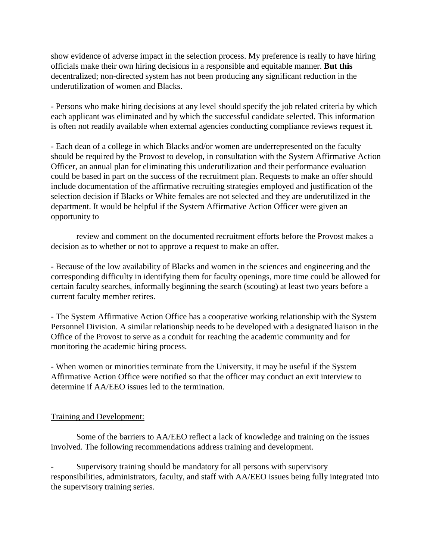show evidence of adverse impact in the selection process. My preference is really to have hiring officials make their own hiring decisions in a responsible and equitable manner. **But this**  decentralized; non-directed system has not been producing any significant reduction in the underutilization of women and Blacks.

- Persons who make hiring decisions at any level should specify the job related criteria by which each applicant was eliminated and by which the successful candidate selected. This information is often not readily available when external agencies conducting compliance reviews request it.

- Each dean of a college in which Blacks and/or women are underrepresented on the faculty should be required by the Provost to develop, in consultation with the System Affirmative Action Officer, an annual plan for eliminating this underutilization and their performance evaluation could be based in part on the success of the recruitment plan. Requests to make an offer should include documentation of the affirmative recruiting strategies employed and justification of the selection decision if Blacks or White females are not selected and they are underutilized in the department. It would be helpful if the System Affirmative Action Officer were given an opportunity to

review and comment on the documented recruitment efforts before the Provost makes a decision as to whether or not to approve a request to make an offer.

- Because of the low availability of Blacks and women in the sciences and engineering and the corresponding difficulty in identifying them for faculty openings, more time could be allowed for certain faculty searches, informally beginning the search (scouting) at least two years before a current faculty member retires.

- The System Affirmative Action Office has a cooperative working relationship with the System Personnel Division. A similar relationship needs to be developed with a designated liaison in the Office of the Provost to serve as a conduit for reaching the academic community and for monitoring the academic hiring process.

- When women or minorities terminate from the University, it may be useful if the System Affirmative Action Office were notified so that the officer may conduct an exit interview to determine if AA/EEO issues led to the termination.

# Training and Development:

Some of the barriers to AA/EEO reflect a lack of knowledge and training on the issues involved. The following recommendations address training and development.

Supervisory training should be mandatory for all persons with supervisory responsibilities, administrators, faculty, and staff with AA/EEO issues being fully integrated into the supervisory training series.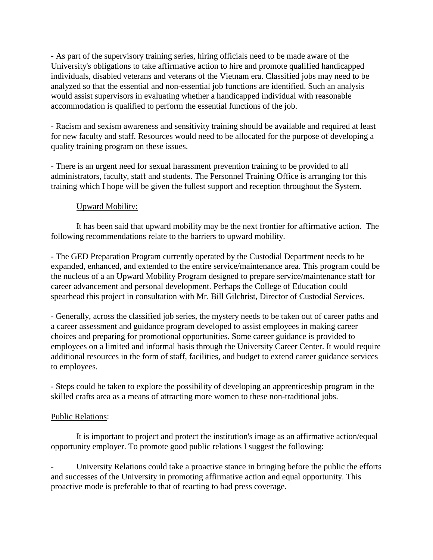- As part of the supervisory training series, hiring officials need to be made aware of the University's obligations to take affirmative action to hire and promote qualified handicapped individuals, disabled veterans and veterans of the Vietnam era. Classified jobs may need to be analyzed so that the essential and non-essential job functions are identified. Such an analysis would assist supervisors in evaluating whether a handicapped individual with reasonable accommodation is qualified to perform the essential functions of the job.

- Racism and sexism awareness and sensitivity training should be available and required at least for new faculty and staff. Resources would need to be allocated for the purpose of developing a quality training program on these issues.

- There is an urgent need for sexual harassment prevention training to be provided to all administrators, faculty, staff and students. The Personnel Training Office is arranging for this training which I hope will be given the fullest support and reception throughout the System.

# Upward Mobilitv:

It has been said that upward mobility may be the next frontier for affirmative action. The following recommendations relate to the barriers to upward mobility.

- The GED Preparation Program currently operated by the Custodial Department needs to be expanded, enhanced, and extended to the entire service/maintenance area. This program could be the nucleus of a an Upward Mobility Program designed to prepare service/maintenance staff for career advancement and personal development. Perhaps the College of Education could spearhead this project in consultation with Mr. Bill Gilchrist, Director of Custodial Services.

- Generally, across the classified job series, the mystery needs to be taken out of career paths and a career assessment and guidance program developed to assist employees in making career choices and preparing for promotional opportunities. Some career guidance is provided to employees on a limited and informal basis through the University Career Center. It would require additional resources in the form of staff, facilities, and budget to extend career guidance services to employees.

- Steps could be taken to explore the possibility of developing an apprenticeship program in the skilled crafts area as a means of attracting more women to these non-traditional jobs.

# Public Relations:

It is important to project and protect the institution's image as an affirmative action/equal opportunity employer. To promote good public relations I suggest the following:

University Relations could take a proactive stance in bringing before the public the efforts and successes of the University in promoting affirmative action and equal opportunity. This proactive mode is preferable to that of reacting to bad press coverage.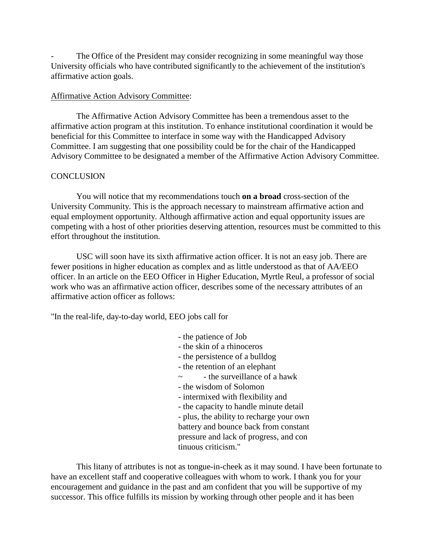The Office of the President may consider recognizing in some meaningful way those University officials who have contributed significantly to the achievement of the institution's affirmative action goals.

#### Affirmative Action Advisory Committee:

The Affirmative Action Advisory Committee has been a tremendous asset to the affirmative action program at this institution. To enhance institutional coordination it would be beneficial for this Committee to interface in some way with the Handicapped Advisory Committee. I am suggesting that one possibility could be for the chair of the Handicapped Advisory Committee to be designated a member of the Affirmative Action Advisory Committee.

#### **CONCLUSION**

You will notice that my recommendations touch **on a broad** cross-section of the University Community. This is the approach necessary to mainstream affirmative action and equal employment opportunity. Although affirmative action and equal opportunity issues are competing with a host of other priorities deserving attention, resources must be committed to this effort throughout the institution.

USC will soon have its sixth affirmative action officer. It is not an easy job. There are fewer positions in higher education as complex and as little understood as that of AA/EEO officer. In an article on the EEO Officer in Higher Education, Myrtle Reul, a professor of social work who was an affirmative action officer, describes some of the necessary attributes of an affirmative action officer as follows:

"In the real-life, day-to-day world, EEO jobs call for

- the patience of Job
- the skin of a rhinoceros
- the persistence of a bulldog
- the retention of an elephant
- $\sim$  the surveillance of a hawk
- the wisdom of Solomon
- intermixed with flexibility and
- the capacity to handle minute detail
- plus, the ability to recharge your own battery and bounce back from constant
- pressure and lack of progress, and con
- tinuous criticism."

This litany of attributes is not as tongue-in-cheek as it may sound. I have been fortunate to have an excellent staff and cooperative colleagues with whom to work. I thank you for your encouragement and guidance in the past and am confident that you will be supportive of my successor. This office fulfills its mission by working through other people and it has been